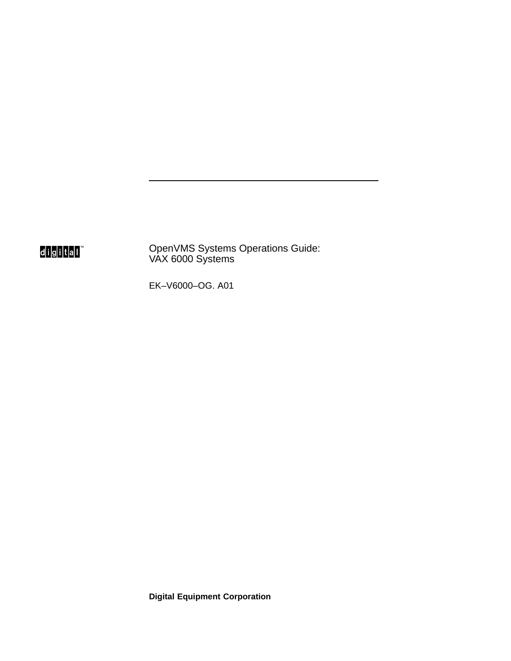digital<sup>"</sup>

OpenVMS Systems Operations Guide: VAX 6000 Systems

EK–V6000–OG. A01

**Digital Equipment Corporation**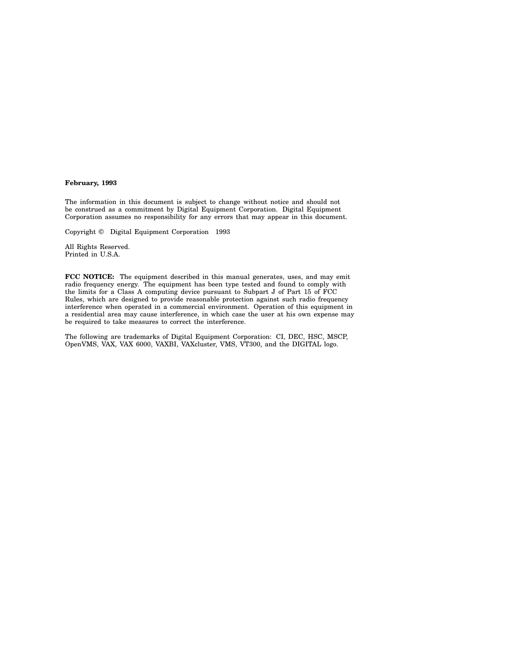#### **February, 1993**

The information in this document is subject to change without notice and should not be construed as a commitment by Digital Equipment Corporation. Digital Equipment Corporation assumes no responsibility for any errors that may appear in this document.

Copyright © Digital Equipment Corporation 1993

All Rights Reserved. Printed in U.S.A.

**FCC NOTICE:** The equipment described in this manual generates, uses, and may emit radio frequency energy. The equipment has been type tested and found to comply with the limits for a Class A computing device pursuant to Subpart J of Part 15 of FCC Rules, which are designed to provide reasonable protection against such radio frequency interference when operated in a commercial environment. Operation of this equipment in a residential area may cause interference, in which case the user at his own expense may be required to take measures to correct the interference.

The following are trademarks of Digital Equipment Corporation: CI, DEC, HSC, MSCP, OpenVMS, VAX, VAX 6000, VAXBI, VAXcluster, VMS, VT300, and the DIGITAL logo.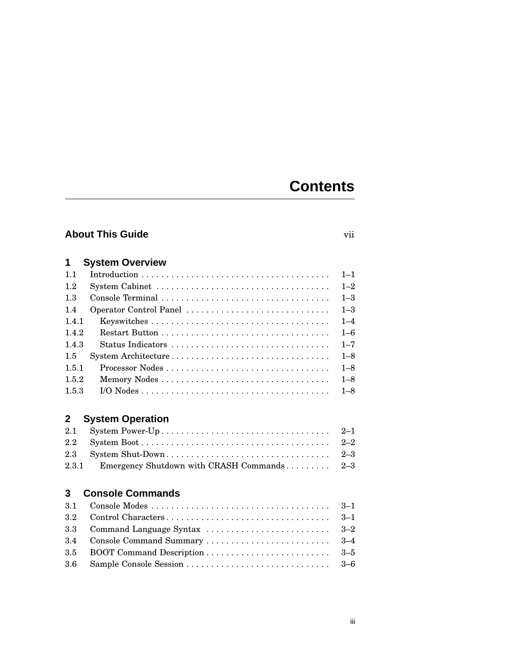# **Contents**

### **About This Guide**

|  | ٠<br>۰. |
|--|---------|
|  |         |
|  |         |

| 1     | <b>System Overview</b> |         |
|-------|------------------------|---------|
| 11    |                        | $1 - 1$ |
| 1.2   |                        | $1 - 2$ |
| 1.3   |                        | $1 - 3$ |
| 1.4   | Operator Control Panel | $1 - 3$ |
| 1.4.1 |                        | $1 - 4$ |
| 1.4.2 |                        | $1 - 6$ |
| 143   | Status Indicators      | $1 - 7$ |
| 1.5   | System Architecture    | $1 - 8$ |
| 1.5.1 |                        | $1 - 8$ |
| 1.5.2 |                        | $1 - 8$ |
| 1.5.3 |                        | $1 - 8$ |

## **2 System Operation**

| 2.3.1 Emergency Shutdown with CRASH Commands 2–3 |  |
|--------------------------------------------------|--|

### **3 Console Commands**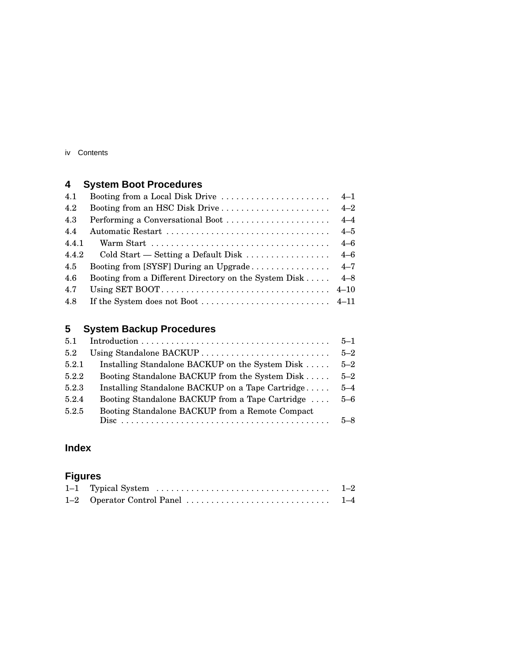iv Contents

## **4 System Boot Procedures**

| 4.1   | Booting from a Local Disk Drive                                   | $4 - 1$ |
|-------|-------------------------------------------------------------------|---------|
| 4.2   | Booting from an HSC Disk Drive                                    | $4 - 2$ |
| 4.3   | Performing a Conversational Boot                                  | $4 - 4$ |
| 4.4   |                                                                   | $4 - 5$ |
| 4.4.1 |                                                                   | $4 - 6$ |
| 4.4.2 | Cold Start — Setting a Default Disk $\ldots \ldots \ldots \ldots$ | $4 - 6$ |
| 4.5   | Booting from [SYSF] During an Upgrade                             | $4 - 7$ |
| 4.6   | Booting from a Different Directory on the System Disk             | $4 - 8$ |
| 4.7   |                                                                   |         |
| 4.8   |                                                                   |         |
|       |                                                                   |         |

# **5 System Backup Procedures**

| 5.1   |                                                  | $5 - 1$ |
|-------|--------------------------------------------------|---------|
| 5.2   | Using Standalone BACKUP                          | $5 - 2$ |
| 5.2.1 | Installing Standalone BACKUP on the System Disk  | $5 - 2$ |
| 5.2.2 | Booting Standalone BACKUP from the System Disk   | $5 - 2$ |
| 5.2.3 | Installing Standalone BACKUP on a Tape Cartridge | $5 - 4$ |
| 5.2.4 | Booting Standalone BACKUP from a Tape Cartridge  | $5 - 6$ |
| 5.2.5 | Booting Standalone BACKUP from a Remote Compact  |         |
|       |                                                  | $5 - 8$ |

### **Index**

## **Figures**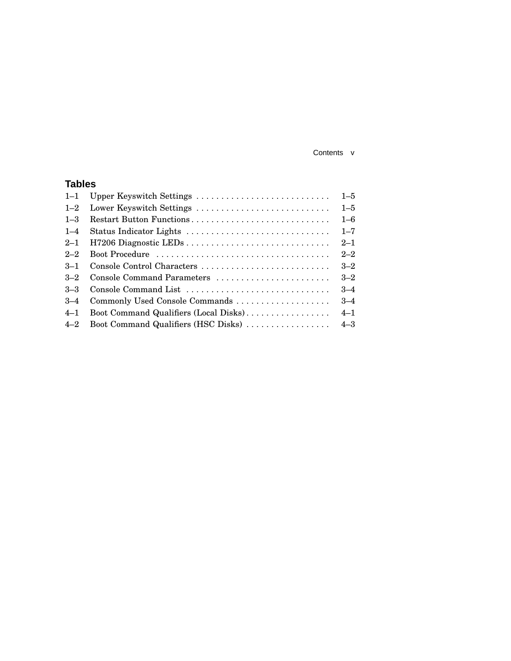#### Contents v

### **Tables**

| $1 - 1$ | Upper Keyswitch Settings              | $1 - 5$ |
|---------|---------------------------------------|---------|
| $1 - 2$ | Lower Keyswitch Settings              | $1 - 5$ |
| $1 - 3$ | Restart Button Functions              | $1 - 6$ |
| $1 - 4$ | Status Indicator Lights               | $1 - 7$ |
| $2 - 1$ |                                       | $2 - 1$ |
| $2 - 2$ | Boot Procedure                        | $2 - 2$ |
| $3 - 1$ | Console Control Characters            | $3 - 2$ |
| $3 - 2$ | Console Command Parameters            | $3 - 2$ |
| $3 - 3$ | Console Command List                  | $3 - 4$ |
| $3 - 4$ |                                       | $3 - 4$ |
| $4 - 1$ | Boot Command Qualifiers (Local Disks) | $4 - 1$ |
| $4 - 2$ | Boot Command Qualifiers (HSC Disks)   | $4 - 3$ |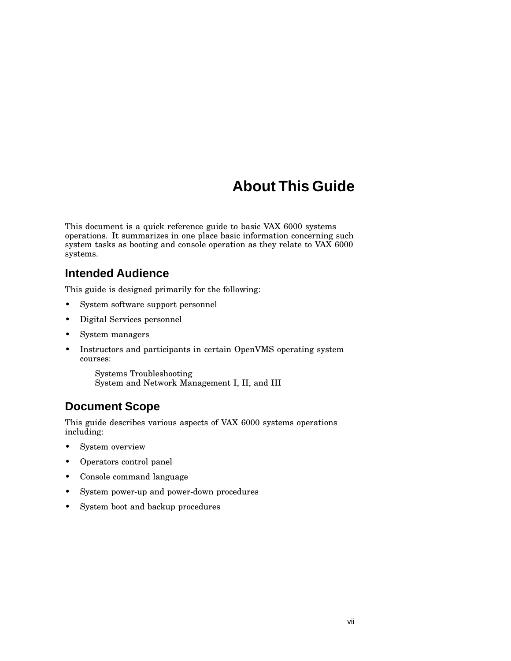# **About This Guide**

This document is a quick reference guide to basic VAX 6000 systems operations. It summarizes in one place basic information concerning such system tasks as booting and console operation as they relate to VAX 6000 systems.

### **Intended Audience**

This guide is designed primarily for the following:

- System software support personnel
- Digital Services personnel
- System managers
- Instructors and participants in certain OpenVMS operating system courses:

Systems Troubleshooting System and Network Management I, II, and III

### **Document Scope**

This guide describes various aspects of VAX 6000 systems operations including:

- System overview
- Operators control panel
- Console command language
- System power-up and power-down procedures
- System boot and backup procedures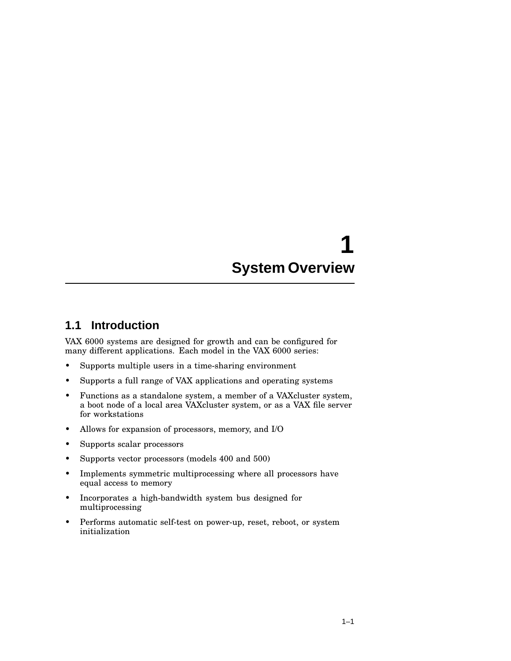# **1 System Overview**

### **1.1 Introduction**

VAX 6000 systems are designed for growth and can be configured for many different applications. Each model in the VAX 6000 series:

- Supports multiple users in a time-sharing environment
- Supports a full range of VAX applications and operating systems
- Functions as a standalone system, a member of a VAXcluster system, a boot node of a local area VAXcluster system, or as a VAX file server for workstations
- Allows for expansion of processors, memory, and I/O
- Supports scalar processors
- Supports vector processors (models 400 and 500)
- Implements symmetric multiprocessing where all processors have equal access to memory
- Incorporates a high-bandwidth system bus designed for multiprocessing
- Performs automatic self-test on power-up, reset, reboot, or system initialization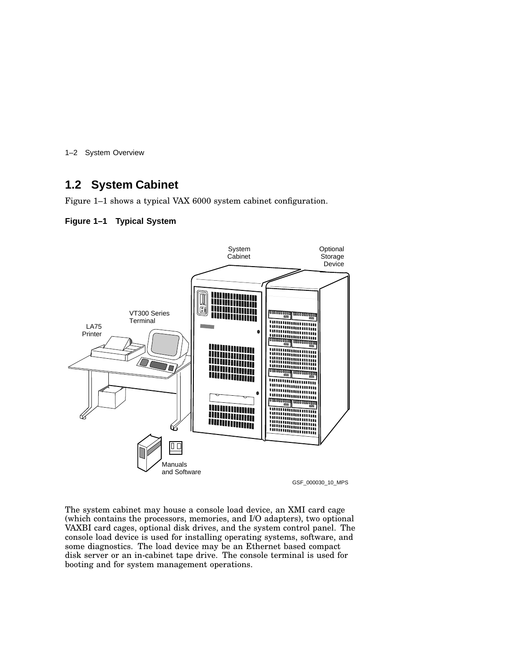1–2 System Overview

### **1.2 System Cabinet**

Figure 1–1 shows a typical VAX 6000 system cabinet configuration.

#### **Figure 1–1 Typical System**



The system cabinet may house a console load device, an XMI card cage (which contains the processors, memories, and I/O adapters), two optional VAXBI card cages, optional disk drives, and the system control panel. The console load device is used for installing operating systems, software, and some diagnostics. The load device may be an Ethernet based compact disk server or an in-cabinet tape drive. The console terminal is used for booting and for system management operations.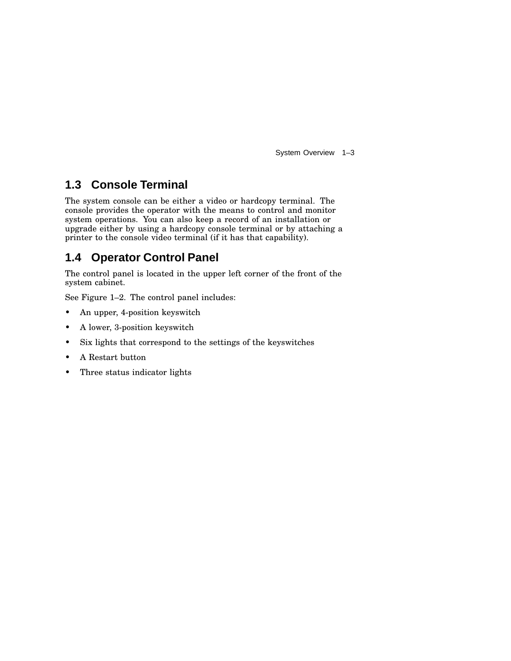System Overview 1–3

### **1.3 Console Terminal**

The system console can be either a video or hardcopy terminal. The console provides the operator with the means to control and monitor system operations. You can also keep a record of an installation or upgrade either by using a hardcopy console terminal or by attaching a printer to the console video terminal (if it has that capability).

### **1.4 Operator Control Panel**

The control panel is located in the upper left corner of the front of the system cabinet.

See Figure 1–2. The control panel includes:

- An upper, 4-position keyswitch
- A lower, 3-position keyswitch
- Six lights that correspond to the settings of the keyswitches
- A Restart button
- Three status indicator lights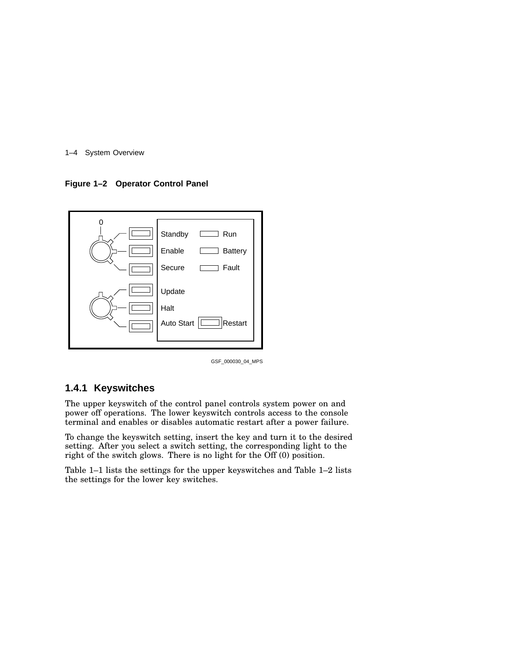#### 1–4 System Overview

**Figure 1–2 Operator Control Panel**



GSF\_000030\_04\_MPS

#### **1.4.1 Keyswitches**

The upper keyswitch of the control panel controls system power on and power off operations. The lower keyswitch controls access to the console terminal and enables or disables automatic restart after a power failure.

To change the keyswitch setting, insert the key and turn it to the desired setting. After you select a switch setting, the corresponding light to the right of the switch glows. There is no light for the Off (0) position.

Table 1–1 lists the settings for the upper keyswitches and Table 1–2 lists the settings for the lower key switches.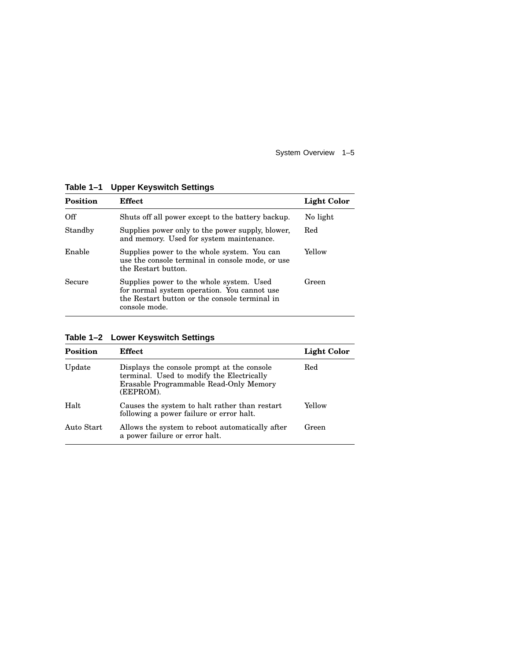System Overview 1–5

| <b>Position</b> | Effect                                                                                                                                                    | Light Color |
|-----------------|-----------------------------------------------------------------------------------------------------------------------------------------------------------|-------------|
| Off             | Shuts off all power except to the battery backup.                                                                                                         | No light    |
| Standby         | Supplies power only to the power supply, blower,<br>and memory. Used for system maintenance.                                                              | Red         |
| Enable          | Supplies power to the whole system. You can<br>use the console terminal in console mode, or use<br>the Restart button.                                    | Yellow      |
| Secure          | Supplies power to the whole system. Used<br>for normal system operation. You cannot use<br>the Restart button or the console terminal in<br>console mode. | Green       |

**Table 1–1 Upper Keyswitch Settings**

| <b>Position</b> | Effect                                                                                                                                         | <b>Light Color</b> |
|-----------------|------------------------------------------------------------------------------------------------------------------------------------------------|--------------------|
| Update          | Displays the console prompt at the console<br>terminal. Used to modify the Electrically<br>Erasable Programmable Read-Only Memory<br>(EEPROM). | Red                |
| Halt            | Causes the system to halt rather than restart<br>following a power failure or error halt.                                                      | Yellow             |
| Auto Start      | Allows the system to reboot automatically after<br>a power failure or error halt.                                                              | Green              |

**Table 1–2 Lower Keyswitch Settings**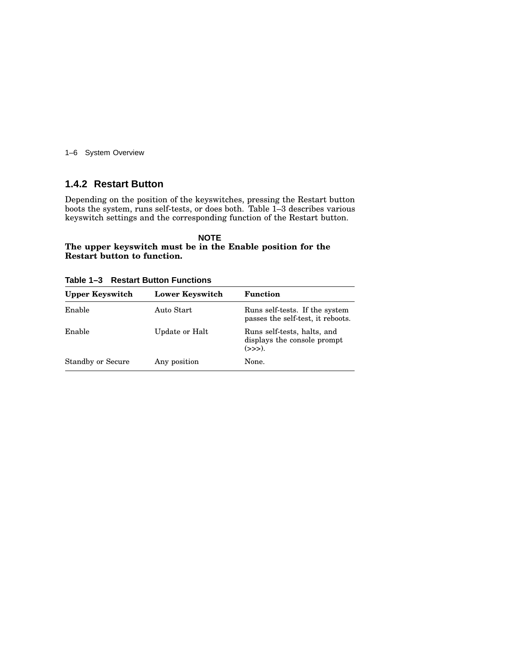1–6 System Overview

#### **1.4.2 Restart Button**

Depending on the position of the keyswitches, pressing the Restart button boots the system, runs self-tests, or does both. Table 1–3 describes various keyswitch settings and the corresponding function of the Restart button.

#### **NOTE The upper keyswitch must be in the Enable position for the Restart button to function.**

**Table 1–3 Restart Button Functions**

| <b>Upper Keyswitch</b>   | <b>Lower Keyswitch</b> | <b>Function</b>                                                          |
|--------------------------|------------------------|--------------------------------------------------------------------------|
| Enable                   | Auto Start             | Runs self-tests. If the system<br>passes the self-test, it reboots.      |
| Enable                   | Update or Halt         | Runs self-tests, halts, and<br>displays the console prompt<br>$(\gg)$ ). |
| <b>Standby or Secure</b> | Any position           | None.                                                                    |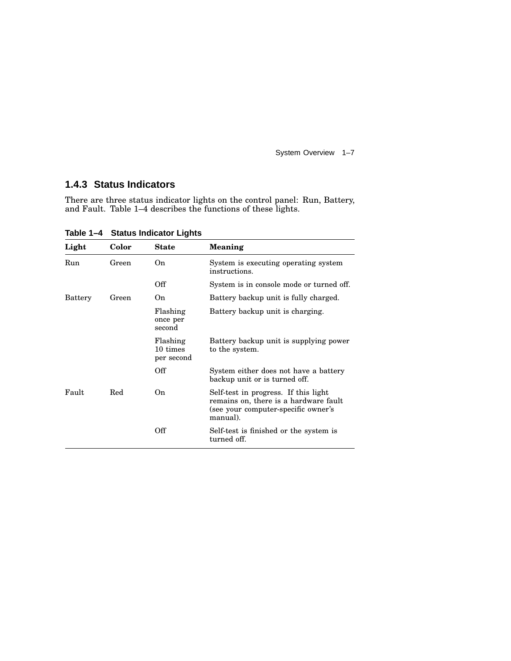System Overview 1–7

#### **1.4.3 Status Indicators**

There are three status indicator lights on the control panel: Run, Battery, and Fault. Table 1–4 describes the functions of these lights.

**Light Color State Meaning** Run Green On System is executing operating system instructions. Off System is in console mode or turned off. Battery Green On Battery backup unit is fully charged. Flashing once per second Battery backup unit is charging. Flashing 10 times per second Battery backup unit is supplying power to the system. Off System either does not have a battery backup unit or is turned off. Fault Red On Self-test in progress. If this light remains on, there is a hardware fault (see your computer-specific owner's manual). Off Self-test is finished or the system is turned off.

**Table 1–4 Status Indicator Lights**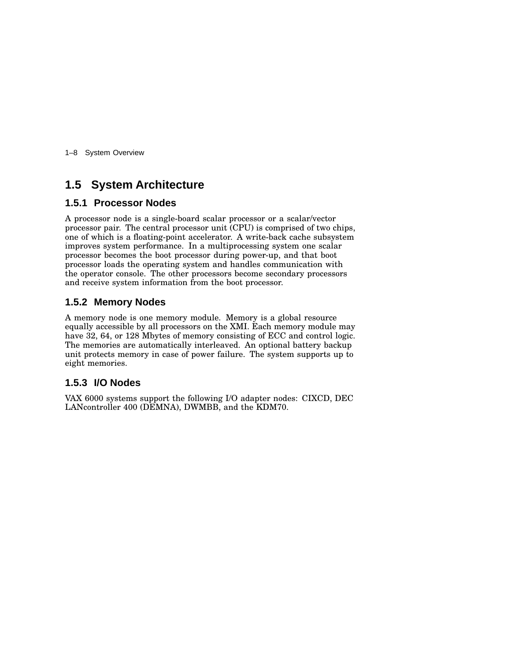1–8 System Overview

### **1.5 System Architecture**

#### **1.5.1 Processor Nodes**

A processor node is a single-board scalar processor or a scalar/vector processor pair. The central processor unit (CPU) is comprised of two chips, one of which is a floating-point accelerator. A write-back cache subsystem improves system performance. In a multiprocessing system one scalar processor becomes the boot processor during power-up, and that boot processor loads the operating system and handles communication with the operator console. The other processors become secondary processors and receive system information from the boot processor.

#### **1.5.2 Memory Nodes**

A memory node is one memory module. Memory is a global resource equally accessible by all processors on the XMI. Each memory module may have 32, 64, or 128 Mbytes of memory consisting of ECC and control logic. The memories are automatically interleaved. An optional battery backup unit protects memory in case of power failure. The system supports up to eight memories.

#### **1.5.3 I/O Nodes**

VAX 6000 systems support the following I/O adapter nodes: CIXCD, DEC LANcontroller 400 (DEMNA), DWMBB, and the KDM70.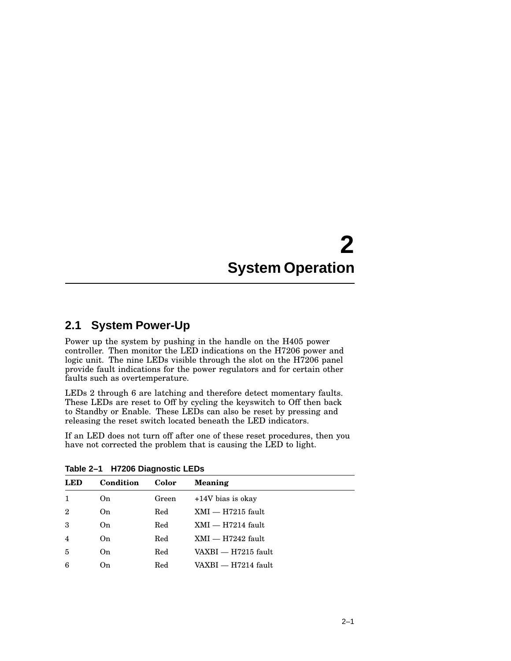# **2 System Operation**

### **2.1 System Power-Up**

Power up the system by pushing in the handle on the H405 power controller. Then monitor the LED indications on the H7206 power and logic unit. The nine LEDs visible through the slot on the H7206 panel provide fault indications for the power regulators and for certain other faults such as overtemperature.

LEDs 2 through 6 are latching and therefore detect momentary faults. These LEDs are reset to Off by cycling the keyswitch to Off then back to Standby or Enable. These LEDs can also be reset by pressing and releasing the reset switch located beneath the LED indicators.

If an LED does not turn off after one of these reset procedures, then you have not corrected the problem that is causing the LED to light.

| <b>LED</b>     | Condition | Color | Meaning             |
|----------------|-----------|-------|---------------------|
| 1              | On        | Green | $+14V$ bias is okay |
| $\overline{2}$ | On        | Red   | $XML - H7215$ fault |
| 3              | On        | Red   | $XML - H7214$ fault |
| $\overline{4}$ | On        | Red   | $XML - H7242$ fault |
| $\overline{5}$ | On        | Red   | VAXBI — H7215 fault |
| 6              | On        | Red   | VAXBI — H7214 fault |

**Table 2–1 H7206 Diagnostic LEDs**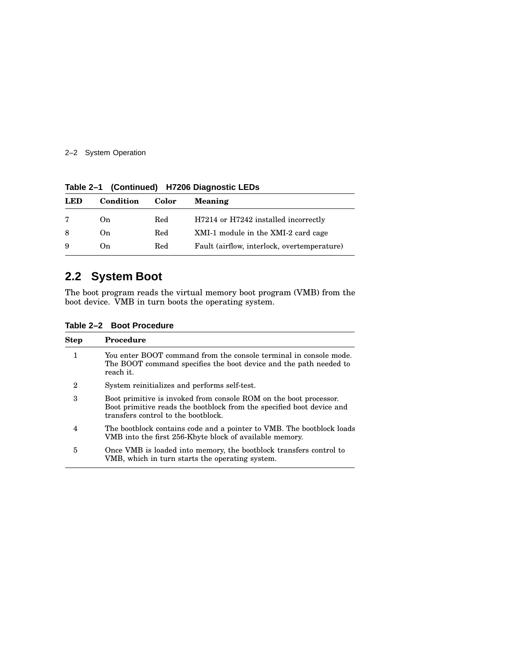#### 2–2 System Operation

| Condition | Color | Meaning                                     |
|-----------|-------|---------------------------------------------|
| On        | Red   | H7214 or H7242 installed incorrectly        |
| On        | Red   | XMI-1 module in the XMI-2 card cage         |
| On        | Red   | Fault (airflow, interlock, overtemperature) |
|           |       |                                             |

**Table 2–1 (Continued) H7206 Diagnostic LEDs**

### **2.2 System Boot**

The boot program reads the virtual memory boot program (VMB) from the boot device. VMB in turn boots the operating system.

**Table 2–2 Boot Procedure**

| <b>Step</b>      | <b>Procedure</b>                                                                                                                                                                  |
|------------------|-----------------------------------------------------------------------------------------------------------------------------------------------------------------------------------|
| 1                | You enter BOOT command from the console terminal in console mode.<br>The BOOT command specifies the boot device and the path needed to<br>reach it.                               |
| $\boldsymbol{2}$ | System reinitializes and performs self-test.                                                                                                                                      |
| 3                | Boot primitive is invoked from console ROM on the boot processor.<br>Boot primitive reads the bootblock from the specified boot device and<br>transfers control to the bootblock. |
| 4                | The bootblock contains code and a pointer to VMB. The bootblock loads<br>VMB into the first 256-Kbyte block of available memory.                                                  |
| 5                | Once VMB is loaded into memory, the bootblock transfers control to<br>VMB, which in turn starts the operating system.                                                             |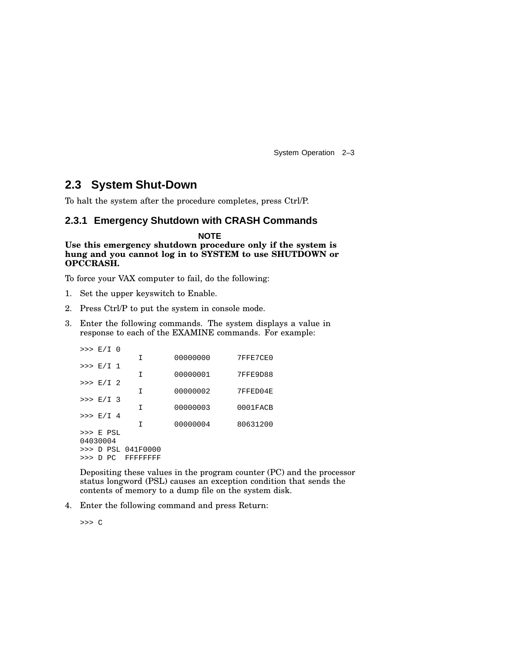System Operation 2–3

### **2.3 System Shut-Down**

To halt the system after the procedure completes, press Ctrl/P.

#### **2.3.1 Emergency Shutdown with CRASH Commands**

**NOTE Use this emergency shutdown procedure only if the system is hung and you cannot log in to SYSTEM to use SHUTDOWN or OPCCRASH.**

To force your VAX computer to fail, do the following:

- 1. Set the upper keyswitch to Enable.
- 2. Press Ctrl/P to put the system in console mode.
- 3. Enter the following commands. The system displays a value in response to each of the EXAMINE commands. For example:

| $>> E/I$ 0 |  |                    |          |          |
|------------|--|--------------------|----------|----------|
|            |  | I                  | 00000000 | 7FFE7CE0 |
| >> E/I 1   |  | I                  | 00000001 | 7FFE9D88 |
| $>>E/I$ 2  |  |                    |          |          |
|            |  | I                  | 00000002 | 7FFED04E |
| $>> E/I$ 3 |  |                    |          |          |
|            |  | T                  | 00000003 | 0001FACB |
| $>>$ E/I 4 |  |                    |          |          |
|            |  | I                  | 00000004 | 80631200 |
| $>>$ E PSL |  |                    |          |          |
| 04030004   |  |                    |          |          |
|            |  | >>> D PSL 041F0000 |          |          |
|            |  | >>> D PC FFFFFFFFF |          |          |
|            |  |                    |          |          |

Depositing these values in the program counter (PC) and the processor status longword (PSL) causes an exception condition that sends the contents of memory to a dump file on the system disk.

4. Enter the following command and press Return:

>>> C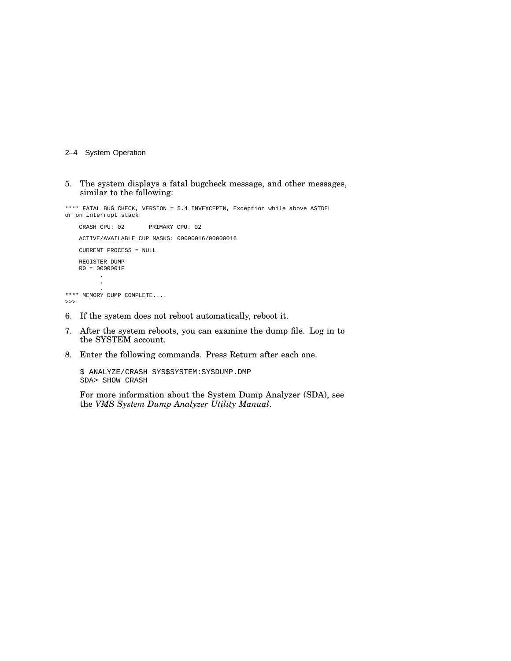#### 2–4 System Operation

5. The system displays a fatal bugcheck message, and other messages, similar to the following:

\*\*\*\* FATAL BUG CHECK, VERSION = 5.4 INVEXCEPTN, Exception while above ASTDEL or on interrupt stack CRASH CPU: 02 PRIMARY CPU: 02 ACTIVE/AVAILABLE CUP MASKS: 00000016/00000016 CURRENT PROCESS = NULL REGISTER DUMP R0 = 0000001F . . . \*\*\*\* MEMORY DUMP COMPLETE.... >>>

- 6. If the system does not reboot automatically, reboot it.
- 7. After the system reboots, you can examine the dump file. Log in to the SYSTEM account.
- 8. Enter the following commands. Press Return after each one.

\$ ANALYZE/CRASH SYS\$SYSTEM:SYSDUMP.DMP SDA> SHOW CRASH

For more information about the System Dump Analyzer (SDA), see the *VMS System Dump Analyzer Utility Manual*.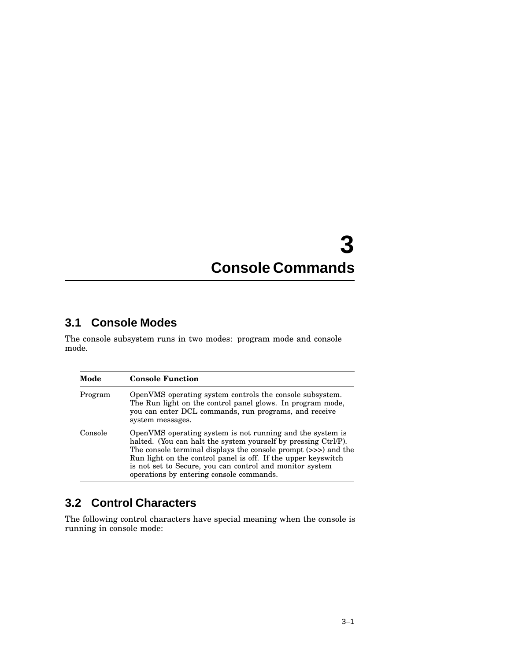# **3 Console Commands**

### **3.1 Console Modes**

The console subsystem runs in two modes: program mode and console mode.

| Mode    | <b>Console Function</b>                                                                                                                                                                                                                                                                                                                                                |
|---------|------------------------------------------------------------------------------------------------------------------------------------------------------------------------------------------------------------------------------------------------------------------------------------------------------------------------------------------------------------------------|
| Program | OpenVMS operating system controls the console subsystem.<br>The Run light on the control panel glows. In program mode,<br>you can enter DCL commands, run programs, and receive<br>system messages.                                                                                                                                                                    |
| Console | OpenVMS operating system is not running and the system is<br>halted. (You can halt the system yourself by pressing Ctrl/P).<br>The console terminal displays the console prompt (>>>) and the<br>Run light on the control panel is off. If the upper keyswitch<br>is not set to Secure, you can control and monitor system<br>operations by entering console commands. |

### **3.2 Control Characters**

The following control characters have special meaning when the console is running in console mode: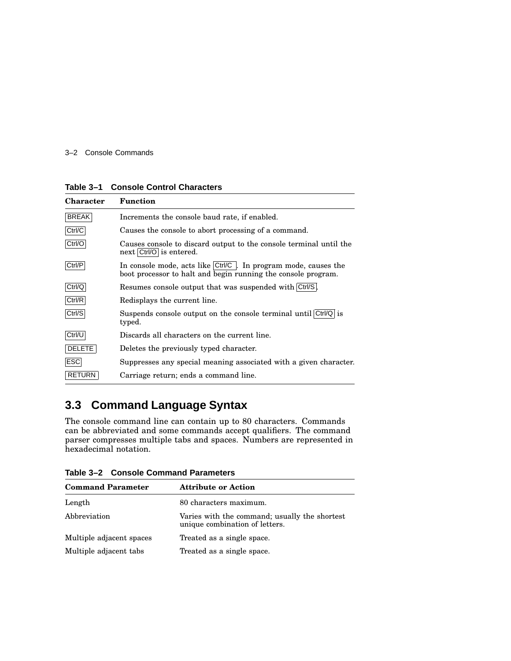#### 3–2 Console Commands

| <b>Character</b> | <b>Function</b>                                                                                                                           |
|------------------|-------------------------------------------------------------------------------------------------------------------------------------------|
| <b>BREAK</b>     | Increments the console baud rate, if enabled.                                                                                             |
| Ctrl/C           | Causes the console to abort processing of a command.                                                                                      |
| Ctrl/O           | Causes console to discard output to the console terminal until the<br>next Ctrl/O is entered.                                             |
| Ctrl/P           | In console mode, acts like $\text{Ctrl/C}$ . In program mode, causes the<br>boot processor to halt and begin running the console program. |
| Ctrl/Q           | Resumes console output that was suspended with Ctrl/S.                                                                                    |
| Ctrl/R           | Redisplays the current line.                                                                                                              |
| Ctrl/S           | Suspends console output on the console terminal until $\text{Ctrl}/\text{Q}$ is<br>typed.                                                 |
| Ctrl/U           | Discards all characters on the current line.                                                                                              |
| <b>DELETE</b>    | Deletes the previously typed character.                                                                                                   |
| <b>ESC</b>       | Suppresses any special meaning associated with a given character.                                                                         |
| <b>RETURN</b>    | Carriage return; ends a command line.                                                                                                     |

#### **Table 3–1 Console Control Characters**

### **3.3 Command Language Syntax**

The console command line can contain up to 80 characters. Commands can be abbreviated and some commands accept qualifiers. The command parser compresses multiple tabs and spaces. Numbers are represented in hexadecimal notation.

**Table 3–2 Console Command Parameters**

| <b>Command Parameter</b> | <b>Attribute or Action</b>                                                      |
|--------------------------|---------------------------------------------------------------------------------|
| Length                   | 80 characters maximum.                                                          |
| Abbreviation             | Varies with the command; usually the shortest<br>unique combination of letters. |
| Multiple adjacent spaces | Treated as a single space.                                                      |
| Multiple adjacent tabs   | Treated as a single space.                                                      |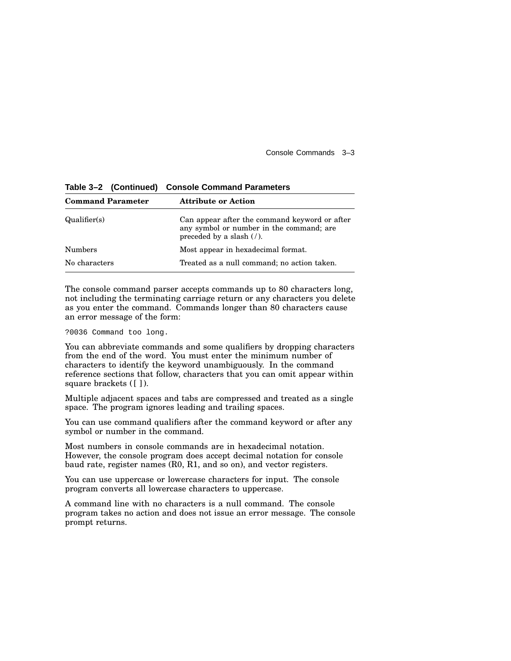Console Commands 3–3

| <b>Command Parameter</b> | <b>Attribute or Action</b>                                                                                                                    |
|--------------------------|-----------------------------------------------------------------------------------------------------------------------------------------------|
| Qualifier(s)             | Can appear after the command keyword or after<br>any symbol or number in the command; are<br>preceded by a slash $\left(\frac{7}{2}\right)$ . |
| <b>Numbers</b>           | Most appear in hexadecimal format.                                                                                                            |
| No characters            | Treated as a null command; no action taken.                                                                                                   |

**Table 3–2 (Continued) Console Command Parameters**

The console command parser accepts commands up to 80 characters long, not including the terminating carriage return or any characters you delete as you enter the command. Commands longer than 80 characters cause an error message of the form:

?0036 Command too long.

You can abbreviate commands and some qualifiers by dropping characters from the end of the word. You must enter the minimum number of characters to identify the keyword unambiguously. In the command reference sections that follow, characters that you can omit appear within square brackets ([ ]).

Multiple adjacent spaces and tabs are compressed and treated as a single space. The program ignores leading and trailing spaces.

You can use command qualifiers after the command keyword or after any symbol or number in the command.

Most numbers in console commands are in hexadecimal notation. However, the console program does accept decimal notation for console baud rate, register names (R0, R1, and so on), and vector registers.

You can use uppercase or lowercase characters for input. The console program converts all lowercase characters to uppercase.

A command line with no characters is a null command. The console program takes no action and does not issue an error message. The console prompt returns.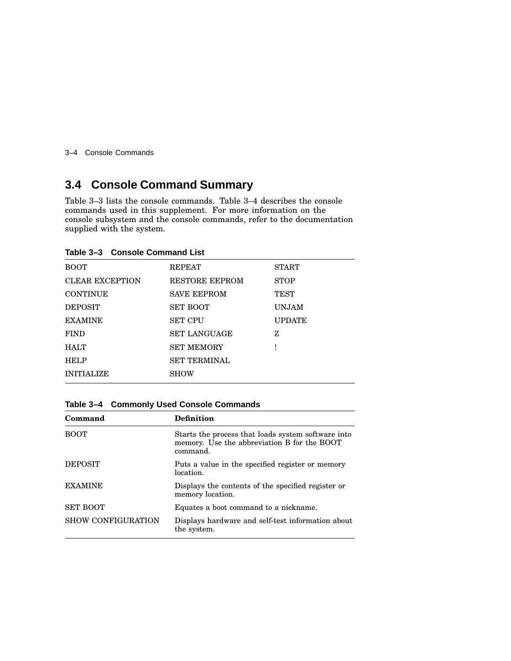3–4 Console Commands

## **3.4 Console Command Summary**

Table 3–3 lists the console commands. Table 3–4 describes the console commands used in this supplement. For more information on the console subsystem and the console commands, refer to the documentation supplied with the system.

| <b>BOOT</b>            | <b>REPEAT</b>         | <b>START</b>  |  |
|------------------------|-----------------------|---------------|--|
| <b>CLEAR EXCEPTION</b> | <b>RESTORE EEPROM</b> | <b>STOP</b>   |  |
| <b>CONTINUE</b>        | <b>SAVE EEPROM</b>    | <b>TEST</b>   |  |
| <b>DEPOSIT</b>         | <b>SET BOOT</b>       | <b>UNJAM</b>  |  |
| <b>EXAMINE</b>         | <b>SET CPU</b>        | <b>UPDATE</b> |  |
| <b>FIND</b>            | <b>SET LANGUAGE</b>   | z             |  |
| <b>HALT</b>            | <b>SET MEMORY</b>     |               |  |
| <b>HELP</b>            | <b>SET TERMINAL</b>   |               |  |
| <b>INITIALIZE</b>      | <b>SHOW</b>           |               |  |
|                        |                       |               |  |

**Table 3–3 Console Command List**

#### **Table 3–4 Commonly Used Console Commands**

| Definition                                                                                                    |
|---------------------------------------------------------------------------------------------------------------|
| Starts the process that loads system software into<br>memory. Use the abbreviation B for the BOOT<br>command. |
| Puts a value in the specified register or memory<br>location.                                                 |
| Displays the contents of the specified register or<br>memory location.                                        |
| Equates a boot command to a nickname.                                                                         |
| Displays hardware and self-test information about<br>the system.                                              |
|                                                                                                               |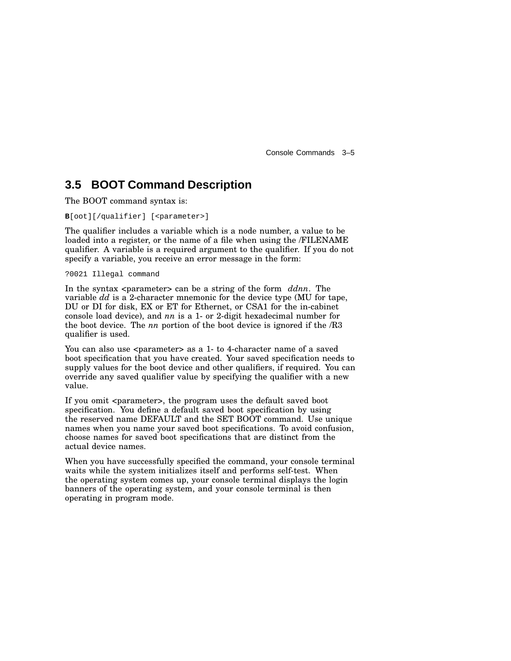Console Commands 3–5

### **3.5 BOOT Command Description**

The BOOT command syntax is:

**B**[oot][/qualifier] [<parameter>]

The qualifier includes a variable which is a node number, a value to be loaded into a register, or the name of a file when using the /FILENAME qualifier. A variable is a required argument to the qualifier. If you do not specify a variable, you receive an error message in the form:

?0021 Illegal command

In the syntax  $\langle$  parameter  $\rangle$  can be a string of the form *ddnn*. The variable *dd* is a 2-character mnemonic for the device type (MU for tape, DU or DI for disk, EX or ET for Ethernet, or CSA1 for the in-cabinet console load device), and *nn* is a 1- or 2-digit hexadecimal number for the boot device. The *nn* portion of the boot device is ignored if the /R3 qualifier is used.

You can also use <parameter> as a 1- to 4-character name of a saved boot specification that you have created. Your saved specification needs to supply values for the boot device and other qualifiers, if required. You can override any saved qualifier value by specifying the qualifier with a new value.

If you omit <parameter>, the program uses the default saved boot specification. You define a default saved boot specification by using the reserved name DEFAULT and the SET BOOT command. Use unique names when you name your saved boot specifications. To avoid confusion, choose names for saved boot specifications that are distinct from the actual device names.

When you have successfully specified the command, your console terminal waits while the system initializes itself and performs self-test. When the operating system comes up, your console terminal displays the login banners of the operating system, and your console terminal is then operating in program mode.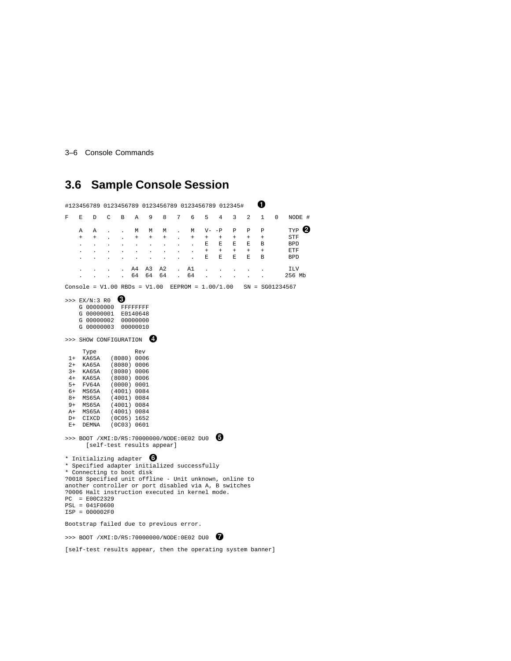3–6 Console Commands

## **3.6 Sample Console Session**

#123456789 <sup>0123456789</sup> <sup>0123456789</sup> <sup>0123456789</sup> 012345# F E D C B A 9 8 7 6 5 4 3 2 1 0 NODE # A A . . M M M . M V--P P P P P TYP + + . . + + + . + + + + + + STF . . . . . . . . . E E E E B BPD . . . . . . . . . + + + + + ETF . . . . . . . . . E E E E B BPD . . . . A4 A3 A2 . A1 . . . . . ILV . . . . 64 64 64 . 64 . . . . . 256 Mb Console = V1.00 RBDs = V1.00 EEPROM = 1.00/1.00 SN = SG01234567  $>> EX/N:3 R0$   $\Theta$ G 00000000 FFFFFFFF G 00000001 E0140648 G 00000002 00000000 G 00000003 00000010 >>> SHOW CONFIGURATION © Type Rev<br>1+ KA65A (8080) 000  $(8080) 0006$ 2+ KA65A (8080) 0006 (8080) 0006 4+ KA65A (8080) 0006 5+ FV64A (0000) 0001 6+ MS65A (4001) 0084 8+ MS65A (4001) 0084 9+ MS65A (4001) 0084 A+ MS65A (4001) 0084<br>D+ CIXCD (0C05) 1652 D+ CIXCD (0C05) 1652<br>E+ DEMNA (0C03) 0601  $(0C03) 0601$ >>> BOOT /XMI:D/R5:70000000/NODE:0E02 DU0 [self-test results appear] \* Initializing adapter 0 \* Specified adapter initialized successfully \* Connecting to boot disk ?0018 Specified unit offline - Unit unknown, online to another controller or port disabled via A, B switches ?0006 Halt instruction executed in kernel mode. PC = E00C2329 PSL = 041F0600 ISP = 000002F0 Bootstrap failed due to previous error. >>> BOOT /XMI:D/R5:70000000/NODE:0E02 DU0 [self-test results appear, then the operating system banner]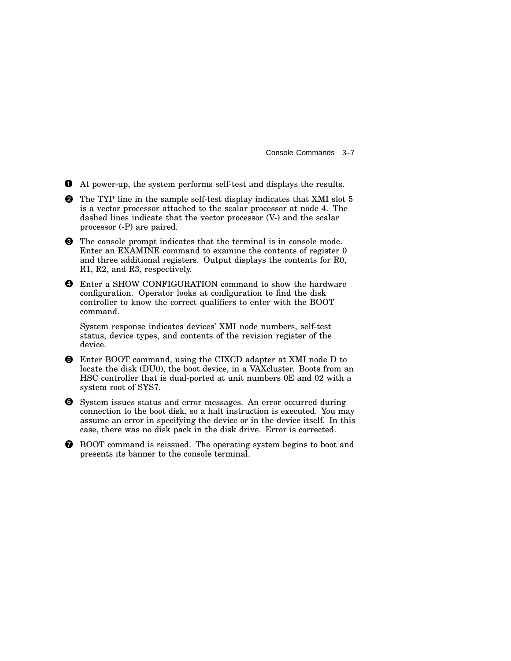Console Commands 3–7

At power-up, the system performs self-test and displays the results.

**2** The TYP line in the sample self-test display indicates that XMI slot 5 is a vector processor attached to the scalar processor at node 4. The dashed lines indicate that the vector processor (V-) and the scalar processor (-P) are paired.

**O** The console prompt indicates that the terminal is in console mode. Enter an EXAMINE command to examine the contents of register 0 and three additional registers. Output displays the contents for R0, R1, R2, and R3, respectively.

 Enter a SHOW CONFIGURATION command to show the hardware configuration. Operator looks at configuration to find the disk controller to know the correct qualifiers to enter with the BOOT command.

System response indicates devices' XMI node numbers, self-test status, device types, and contents of the revision register of the device.

- Enter BOOT command, using the CIXCD adapter at XMI node D to locate the disk (DU0), the boot device, in a VAXcluster. Boots from an HSC controller that is dual-ported at unit numbers 0E and 02 with a system root of SYS7.
- **O** System issues status and error messages. An error occurred during connection to the boot disk, so a halt instruction is executed. You may assume an error in specifying the device or in the device itself. In this case, there was no disk pack in the disk drive. Error is corrected.
- BOOT command is reissued. The operating system begins to boot and presents its banner to the console terminal.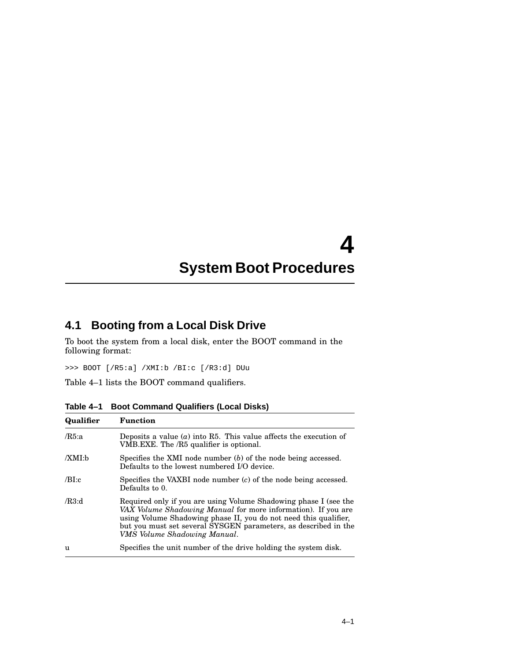# **4 System Boot Procedures**

### **4.1 Booting from a Local Disk Drive**

To boot the system from a local disk, enter the BOOT command in the following format:

>>> BOOT [/R5:a] /XMI:b /BI:c [/R3:d] DUu

Table 4–1 lists the BOOT command qualifiers.

| Qualifier | <b>Function</b>                                                                                                                                                                                                                                                                                          |
|-----------|----------------------------------------------------------------------------------------------------------------------------------------------------------------------------------------------------------------------------------------------------------------------------------------------------------|
| /R5: a    | Deposits a value $(a)$ into R5. This value affects the execution of<br>VMB.EXE. The /R5 qualifier is optional.                                                                                                                                                                                           |
| /XML:b    | Specifies the XMI node number $(b)$ of the node being accessed.<br>Defaults to the lowest numbered I/O device.                                                                                                                                                                                           |
| /BI:c     | Specifies the VAXBI node number $(c)$ of the node being accessed.<br>Defaults to 0.                                                                                                                                                                                                                      |
| /R3:d     | Required only if you are using Volume Shadowing phase I (see the<br>VAX Volume Shadowing Manual for more information). If you are<br>using Volume Shadowing phase II, you do not need this qualifier,<br>but you must set several SYSGEN parameters, as described in the<br>VMS Volume Shadowing Manual. |
| u         | Specifies the unit number of the drive holding the system disk.                                                                                                                                                                                                                                          |

**Table 4–1 Boot Command Qualifiers (Local Disks)**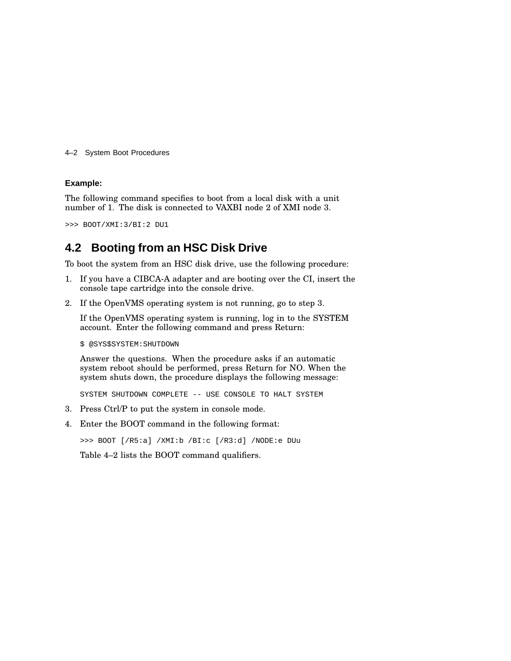4–2 System Boot Procedures

#### **Example:**

The following command specifies to boot from a local disk with a unit number of 1. The disk is connected to VAXBI node 2 of XMI node 3.

>>> BOOT/XMI:3/BI:2 DU1

### **4.2 Booting from an HSC Disk Drive**

To boot the system from an HSC disk drive, use the following procedure:

- 1. If you have a CIBCA-A adapter and are booting over the CI, insert the console tape cartridge into the console drive.
- 2. If the OpenVMS operating system is not running, go to step 3.

If the OpenVMS operating system is running, log in to the SYSTEM account. Enter the following command and press Return:

\$ @SYS\$SYSTEM:SHUTDOWN

Answer the questions. When the procedure asks if an automatic system reboot should be performed, press Return for NO. When the system shuts down, the procedure displays the following message:

SYSTEM SHUTDOWN COMPLETE -- USE CONSOLE TO HALT SYSTEM

- 3. Press Ctrl/P to put the system in console mode.
- 4. Enter the BOOT command in the following format:

>>> BOOT [/R5:a] /XMI:b /BI:c [/R3:d] /NODE:e DUu

Table 4–2 lists the BOOT command qualifiers.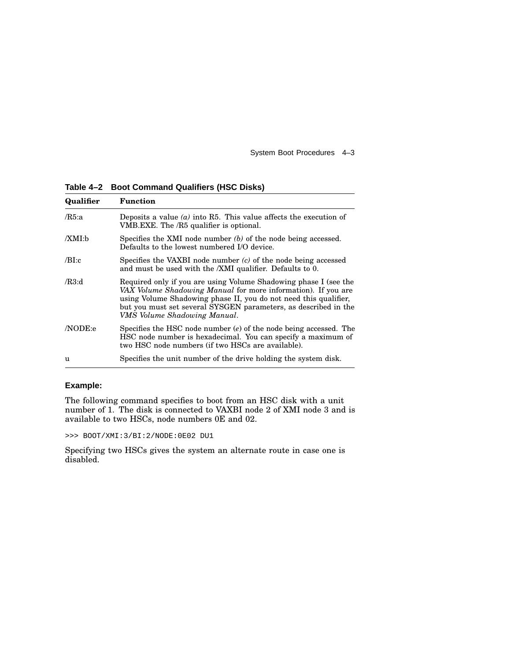System Boot Procedures 4–3

**Table 4–2 Boot Command Qualifiers (HSC Disks)**

| Qualifier | <b>Function</b>                                                                                                                                                                                                                                                                                          |  |  |
|-----------|----------------------------------------------------------------------------------------------------------------------------------------------------------------------------------------------------------------------------------------------------------------------------------------------------------|--|--|
| /R5:a     | Deposits a value ( $a$ ) into R5. This value affects the execution of<br>VMB.EXE. The /R5 qualifier is optional.                                                                                                                                                                                         |  |  |
| /XMI:b    | Specifies the XMI node number $(b)$ of the node being accessed.<br>Defaults to the lowest numbered I/O device.                                                                                                                                                                                           |  |  |
| /BI:c     | Specifies the VAXBI node number $(c)$ of the node being accessed<br>and must be used with the <i>XMI</i> qualifier. Defaults to 0.                                                                                                                                                                       |  |  |
| /R3:d     | Required only if you are using Volume Shadowing phase I (see the<br>VAX Volume Shadowing Manual for more information). If you are<br>using Volume Shadowing phase II, you do not need this qualifier,<br>but you must set several SYSGEN parameters, as described in the<br>VMS Volume Shadowing Manual. |  |  |
| /NODE:e   | Specifies the HSC node number $(e)$ of the node being accessed. The<br>HSC node number is hexadecimal. You can specify a maximum of<br>two HSC node numbers (if two HSCs are available).                                                                                                                 |  |  |
| u         | Specifies the unit number of the drive holding the system disk.                                                                                                                                                                                                                                          |  |  |

#### **Example:**

The following command specifies to boot from an HSC disk with a unit number of 1. The disk is connected to VAXBI node 2 of XMI node 3 and is available to two HSCs, node numbers 0E and 02.

>>> BOOT/XMI:3/BI:2/NODE:0E02 DU1

Specifying two HSCs gives the system an alternate route in case one is disabled.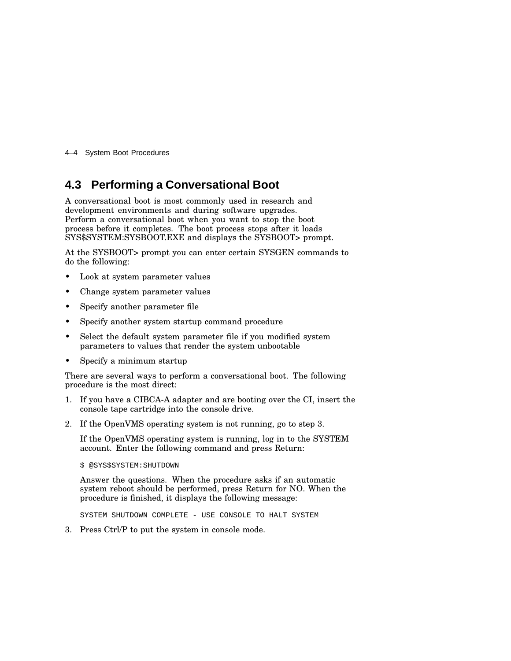4–4 System Boot Procedures

### **4.3 Performing a Conversational Boot**

A conversational boot is most commonly used in research and development environments and during software upgrades. Perform a conversational boot when you want to stop the boot process before it completes. The boot process stops after it loads SYS\$SYSTEM:SYSBOOT.EXE and displays the SYSBOOT> prompt.

At the SYSBOOT> prompt you can enter certain SYSGEN commands to do the following:

- Look at system parameter values
- Change system parameter values
- Specify another parameter file
- Specify another system startup command procedure
- Select the default system parameter file if you modified system parameters to values that render the system unbootable
- Specify a minimum startup

There are several ways to perform a conversational boot. The following procedure is the most direct:

- 1. If you have a CIBCA-A adapter and are booting over the CI, insert the console tape cartridge into the console drive.
- 2. If the OpenVMS operating system is not running, go to step 3.

If the OpenVMS operating system is running, log in to the SYSTEM account. Enter the following command and press Return:

\$ @SYS\$SYSTEM:SHUTDOWN

Answer the questions. When the procedure asks if an automatic system reboot should be performed, press Return for NO. When the procedure is finished, it displays the following message:

SYSTEM SHUTDOWN COMPLETE - USE CONSOLE TO HALT SYSTEM

3. Press Ctrl/P to put the system in console mode.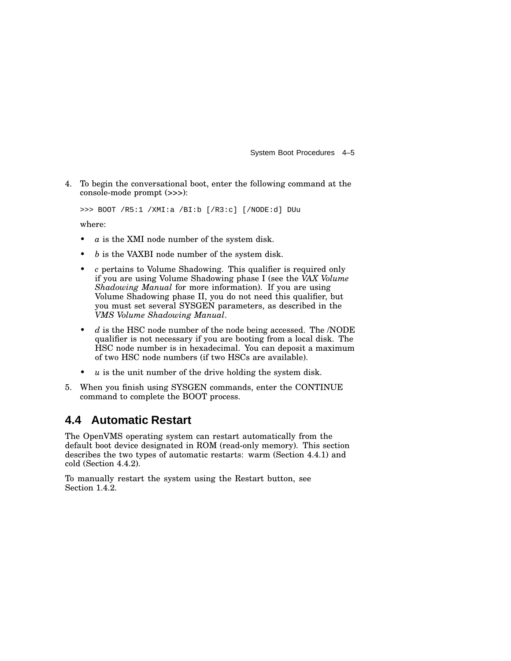System Boot Procedures 4–5

4. To begin the conversational boot, enter the following command at the console-mode prompt (>>>):

>>> BOOT /R5:1 /XMI:a /BI:b [/R3:c] [/NODE:d] DUu

where:

- $a$  is the XMI node number of the system disk.
- *b* is the VAXBI node number of the system disk.
- *c* pertains to Volume Shadowing. This qualifier is required only if you are using Volume Shadowing phase I (see the *VAX Volume Shadowing Manual* for more information). If you are using Volume Shadowing phase II, you do not need this qualifier, but you must set several SYSGEN parameters, as described in the *VMS Volume Shadowing Manual*.
- d is the HSC node number of the node being accessed. The *NODE* qualifier is not necessary if you are booting from a local disk. The HSC node number is in hexadecimal. You can deposit a maximum of two HSC node numbers (if two HSCs are available).
- *is the unit number of the drive holding the system disk.*
- 5. When you finish using SYSGEN commands, enter the CONTINUE command to complete the BOOT process.

### **4.4 Automatic Restart**

The OpenVMS operating system can restart automatically from the default boot device designated in ROM (read-only memory). This section describes the two types of automatic restarts: warm (Section 4.4.1) and cold (Section 4.4.2).

To manually restart the system using the Restart button, see Section 1.4.2.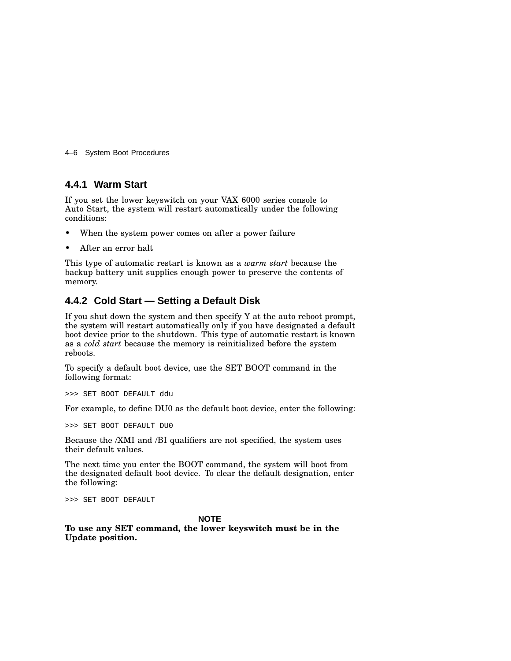4–6 System Boot Procedures

#### **4.4.1 Warm Start**

If you set the lower keyswitch on your VAX 6000 series console to Auto Start, the system will restart automatically under the following conditions:

- When the system power comes on after a power failure
- After an error halt

This type of automatic restart is known as a *warm start* because the backup battery unit supplies enough power to preserve the contents of memory.

#### **4.4.2 Cold Start — Setting a Default Disk**

If you shut down the system and then specify Y at the auto reboot prompt, the system will restart automatically only if you have designated a default boot device prior to the shutdown. This type of automatic restart is known as a *cold start* because the memory is reinitialized before the system reboots.

To specify a default boot device, use the SET BOOT command in the following format:

>>> SET BOOT DEFAULT ddu

For example, to define DU0 as the default boot device, enter the following:

>>> SET BOOT DEFAULT DU0

Because the /XMI and /BI qualifiers are not specified, the system uses their default values.

The next time you enter the BOOT command, the system will boot from the designated default boot device. To clear the default designation, enter the following:

>>> SET BOOT DEFAULT

#### **NOTE**

**To use any SET command, the lower keyswitch must be in the Update position.**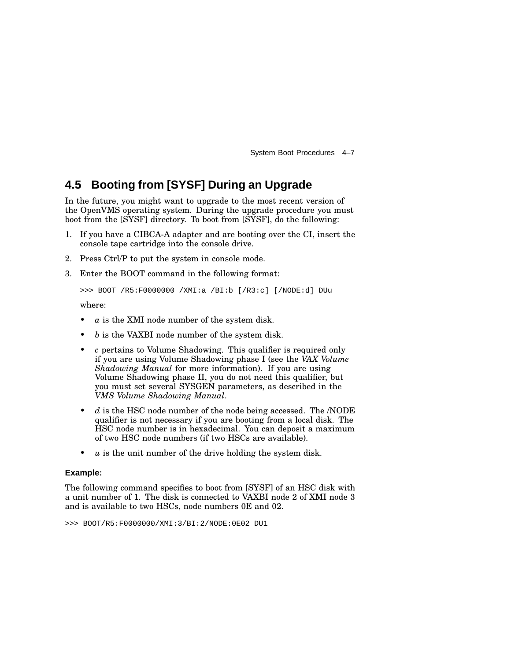System Boot Procedures 4–7

### **4.5 Booting from [SYSF] During an Upgrade**

In the future, you might want to upgrade to the most recent version of the OpenVMS operating system. During the upgrade procedure you must boot from the [SYSF] directory. To boot from [SYSF], do the following:

- 1. If you have a CIBCA-A adapter and are booting over the CI, insert the console tape cartridge into the console drive.
- 2. Press Ctrl/P to put the system in console mode.
- 3. Enter the BOOT command in the following format:

>>> BOOT /R5:F0000000 /XMI:a /BI:b [/R3:c] [/NODE:d] DUu

where:

- $a$  is the XMI node number of the system disk.
- *b* is the VAXBI node number of the system disk.
- *c* pertains to Volume Shadowing. This qualifier is required only if you are using Volume Shadowing phase I (see the *VAX Volume Shadowing Manual* for more information). If you are using Volume Shadowing phase II, you do not need this qualifier, but you must set several SYSGEN parameters, as described in the *VMS Volume Shadowing Manual*.
- *d* is the HSC node number of the node being accessed. The /NODE qualifier is not necessary if you are booting from a local disk. The HSC node number is in hexadecimal. You can deposit a maximum of two HSC node numbers (if two HSCs are available).
- *u* is the unit number of the drive holding the system disk.

#### **Example:**

The following command specifies to boot from [SYSF] of an HSC disk with a unit number of 1. The disk is connected to VAXBI node 2 of XMI node 3 and is available to two HSCs, node numbers 0E and 02.

>>> BOOT/R5:F0000000/XMI:3/BI:2/NODE:0E02 DU1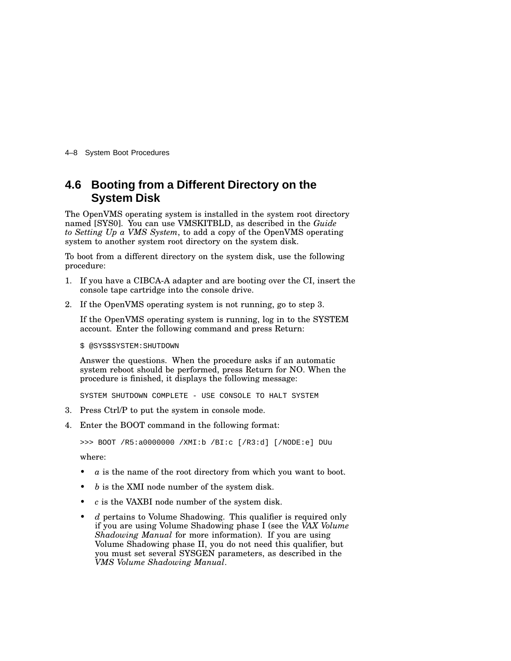4–8 System Boot Procedures

### **4.6 Booting from a Different Directory on the System Disk**

The OpenVMS operating system is installed in the system root directory named [SYS0]. You can use VMSKITBLD, as described in the *Guide to Setting Up a VMS System*, to add a copy of the OpenVMS operating system to another system root directory on the system disk.

To boot from a different directory on the system disk, use the following procedure:

- 1. If you have a CIBCA-A adapter and are booting over the CI, insert the console tape cartridge into the console drive.
- 2. If the OpenVMS operating system is not running, go to step 3.

If the OpenVMS operating system is running, log in to the SYSTEM account. Enter the following command and press Return:

\$ @SYS\$SYSTEM:SHUTDOWN

Answer the questions. When the procedure asks if an automatic system reboot should be performed, press Return for NO. When the procedure is finished, it displays the following message:

SYSTEM SHUTDOWN COMPLETE - USE CONSOLE TO HALT SYSTEM

- 3. Press Ctrl/P to put the system in console mode.
- 4. Enter the BOOT command in the following format:

>>> BOOT /R5:a0000000 /XMI:b /BI:c [/R3:d] [/NODE:e] DUu

where:

- *a* is the name of the root directory from which you want to boot.
- *b* is the XMI node number of the system disk.
- *c* is the VAXBI node number of the system disk.
- *d* pertains to Volume Shadowing. This qualifier is required only if you are using Volume Shadowing phase I (see the *VAX Volume Shadowing Manual* for more information). If you are using Volume Shadowing phase II, you do not need this qualifier, but you must set several SYSGEN parameters, as described in the *VMS Volume Shadowing Manual*.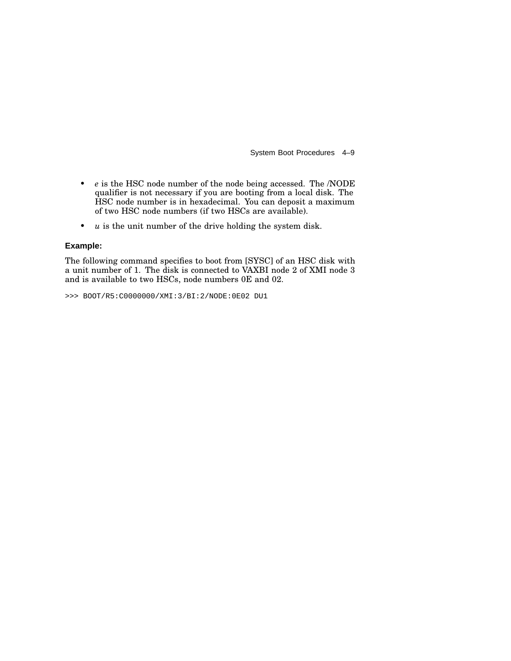System Boot Procedures 4–9

- *e* is the HSC node number of the node being accessed. The /NODE qualifier is not necessary if you are booting from a local disk. The HSC node number is in hexadecimal. You can deposit a maximum of two HSC node numbers (if two HSCs are available).
- *u* is the unit number of the drive holding the system disk.

#### **Example:**

The following command specifies to boot from [SYSC] of an HSC disk with a unit number of 1. The disk is connected to VAXBI node 2 of XMI node 3 and is available to two HSCs, node numbers 0E and 02.

>>> BOOT/R5:C0000000/XMI:3/BI:2/NODE:0E02 DU1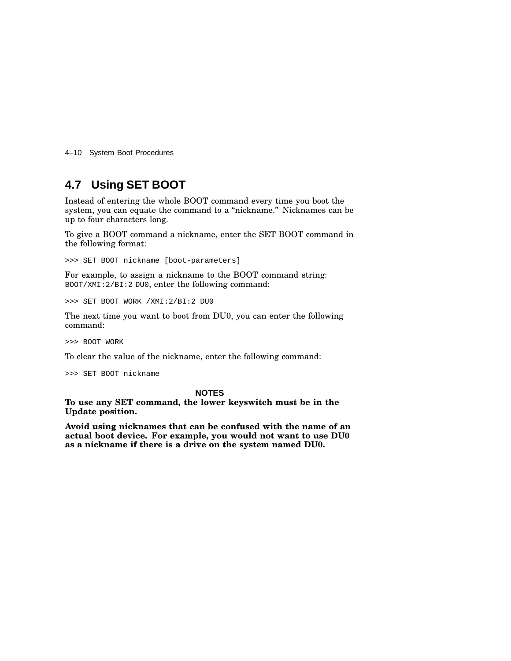4–10 System Boot Procedures

### **4.7 Using SET BOOT**

Instead of entering the whole BOOT command every time you boot the system, you can equate the command to a "nickname." Nicknames can be up to four characters long.

To give a BOOT command a nickname, enter the SET BOOT command in the following format:

>>> SET BOOT nickname [boot-parameters]

For example, to assign a nickname to the BOOT command string: BOOT/XMI:2/BI:2 DU0, enter the following command:

>>> SET BOOT WORK /XMI:2/BI:2 DU0

The next time you want to boot from DU0, you can enter the following command:

>>> BOOT WORK

To clear the value of the nickname, enter the following command:

>>> SET BOOT nickname

#### **NOTES**

**To use any SET command, the lower keyswitch must be in the Update position.**

**Avoid using nicknames that can be confused with the name of an actual boot device. For example, you would not want to use DU0 as a nickname if there is a drive on the system named DU0.**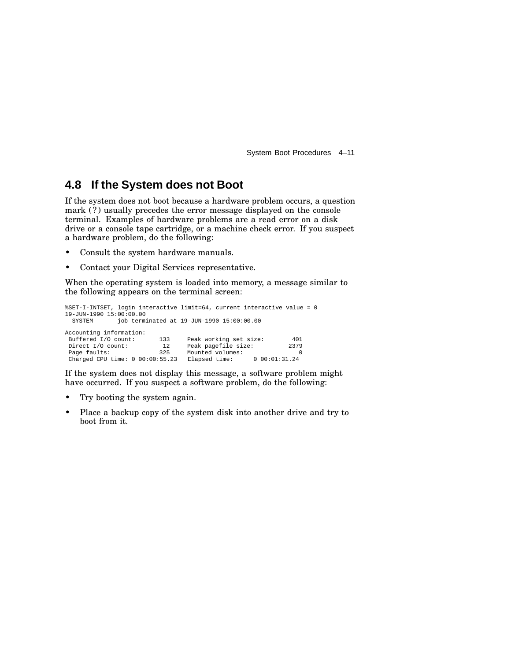System Boot Procedures 4–11

### **4.8 If the System does not Boot**

If the system does not boot because a hardware problem occurs, a question mark (?) usually precedes the error message displayed on the console terminal. Examples of hardware problems are a read error on a disk drive or a console tape cartridge, or a machine check error. If you suspect a hardware problem, do the following:

- Consult the system hardware manuals.
- Contact your Digital Services representative.

When the operating system is loaded into memory, a message similar to the following appears on the terminal screen:

%SET-I-INTSET, login interactive limit=64, current interactive value = 0 19-JUN-1990 15:00:00.00<br>SYSTEM iob termi  $job$  terminated at  $19$ -JUN-1990  $15:00:00.00$ Accounting information:<br>Buffered I/O count: Buffered I/O count: 133 Peak working set size: 401<br>Direct I/O count: 12 Peak pagefile size: 2379<br>Page faults: 325 Mounted volumes: 0 Direct I/O count: 12 Peak pagefile size: 2379<br>Page faults: 2325 Mounted volumes: 0 Mounted volumes:  $E$ <br>Elapsed time:  $0\ 00:01:31.24$ Charged CPU time: 0 00:00:55.23 Elapsed time:

If the system does not display this message, a software problem might have occurred. If you suspect a software problem, do the following:

- Try booting the system again.
- Place a backup copy of the system disk into another drive and try to boot from it.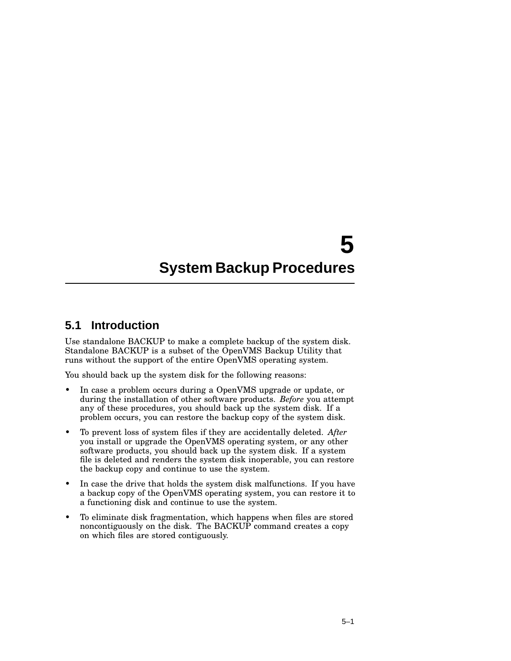# **5 System Backup Procedures**

### **5.1 Introduction**

Use standalone BACKUP to make a complete backup of the system disk. Standalone BACKUP is a subset of the OpenVMS Backup Utility that runs without the support of the entire OpenVMS operating system.

You should back up the system disk for the following reasons:

- In case a problem occurs during a OpenVMS upgrade or update, or during the installation of other software products. *Before* you attempt any of these procedures, you should back up the system disk. If a problem occurs, you can restore the backup copy of the system disk.
- To prevent loss of system files if they are accidentally deleted. *After* you install or upgrade the OpenVMS operating system, or any other software products, you should back up the system disk. If a system file is deleted and renders the system disk inoperable, you can restore the backup copy and continue to use the system.
- In case the drive that holds the system disk malfunctions. If you have a backup copy of the OpenVMS operating system, you can restore it to a functioning disk and continue to use the system.
- To eliminate disk fragmentation, which happens when files are stored noncontiguously on the disk. The BACKUP command creates a copy on which files are stored contiguously.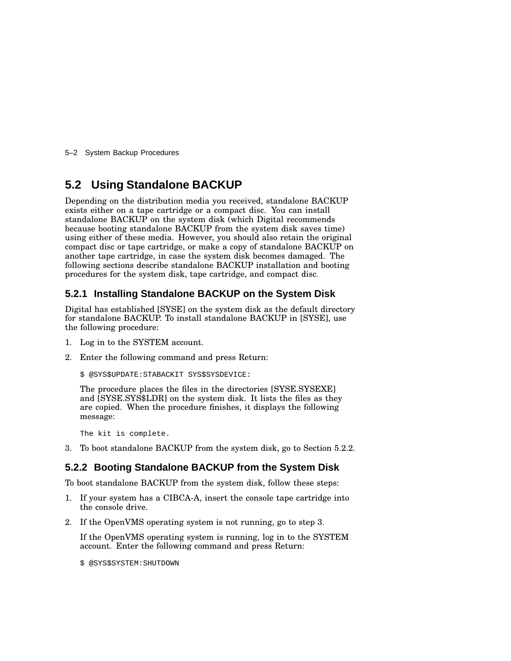5–2 System Backup Procedures

### **5.2 Using Standalone BACKUP**

Depending on the distribution media you received, standalone BACKUP exists either on a tape cartridge or a compact disc. You can install standalone BACKUP on the system disk (which Digital recommends because booting standalone BACKUP from the system disk saves time) using either of these media. However, you should also retain the original compact disc or tape cartridge, or make a copy of standalone BACKUP on another tape cartridge, in case the system disk becomes damaged. The following sections describe standalone BACKUP installation and booting procedures for the system disk, tape cartridge, and compact disc.

#### **5.2.1 Installing Standalone BACKUP on the System Disk**

Digital has established [SYSE] on the system disk as the default directory for standalone BACKUP. To install standalone BACKUP in [SYSE], use the following procedure:

- 1. Log in to the SYSTEM account.
- 2. Enter the following command and press Return:

\$ @SYS\$UPDATE:STABACKIT SYS\$SYSDEVICE:

The procedure places the files in the directories [SYSE.SYSEXE] and [SYSE.SYS\$LDR] on the system disk. It lists the files as they are copied. When the procedure finishes, it displays the following message:

The kit is complete.

3. To boot standalone BACKUP from the system disk, go to Section 5.2.2.

#### **5.2.2 Booting Standalone BACKUP from the System Disk**

To boot standalone BACKUP from the system disk, follow these steps:

- 1. If your system has a CIBCA-A, insert the console tape cartridge into the console drive.
- 2. If the OpenVMS operating system is not running, go to step 3.

If the OpenVMS operating system is running, log in to the SYSTEM account. Enter the following command and press Return:

\$ @SYS\$SYSTEM:SHUTDOWN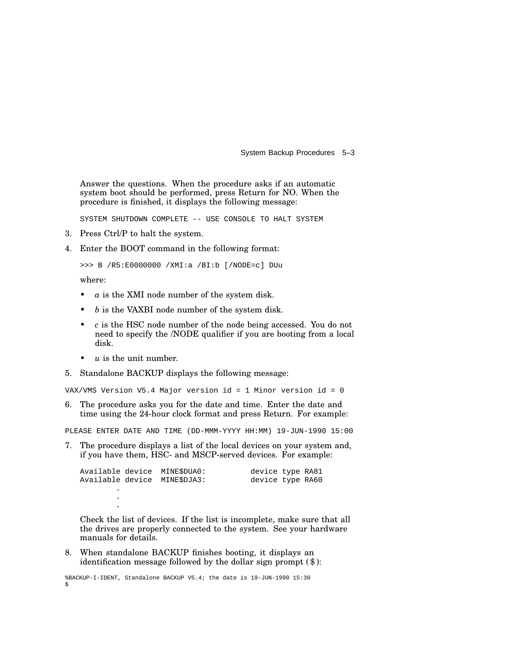System Backup Procedures 5–3

Answer the questions. When the procedure asks if an automatic system boot should be performed, press Return for NO. When the procedure is finished, it displays the following message:

SYSTEM SHUTDOWN COMPLETE -- USE CONSOLE TO HALT SYSTEM

- 3. Press Ctrl/P to halt the system.
- 4. Enter the BOOT command in the following format:

>>> B /R5:E0000000 /XMI:a /BI:b [/NODE=c] DUu

where:

- *a* is the XMI node number of the system disk.
- *b* is the VAXBI node number of the system disk.
- *c* is the HSC node number of the node being accessed. You do not need to specify the /NODE qualifier if you are booting from a local disk.
- *u* is the unit number.

. .

5. Standalone BACKUP displays the following message:

VAX/VMS Version V5.4 Major version id = 1 Minor version id = 0

6. The procedure asks you for the date and time. Enter the date and time using the 24-hour clock format and press Return. For example:

PLEASE ENTER DATE AND TIME (DD-MMM-YYYY HH:MM) 19-JUN-1990 15:00

7. The procedure displays a list of the local devices on your system and, if you have them, HSC- and MSCP-served devices. For example:

|  | Available device MINESDUA0: | device type RA81 |  |
|--|-----------------------------|------------------|--|
|  | Available device MINESDJA3: | device type RA60 |  |
|  |                             |                  |  |

Check the list of devices. If the list is incomplete, make sure that all the drives are properly connected to the system. See your hardware manuals for details.

8. When standalone BACKUP finishes booting, it displays an identification message followed by the dollar sign prompt (\$):

%BACKUP-I-IDENT, Standalone BACKUP V5.4; the date is 19-JUN-1990 15:30 \$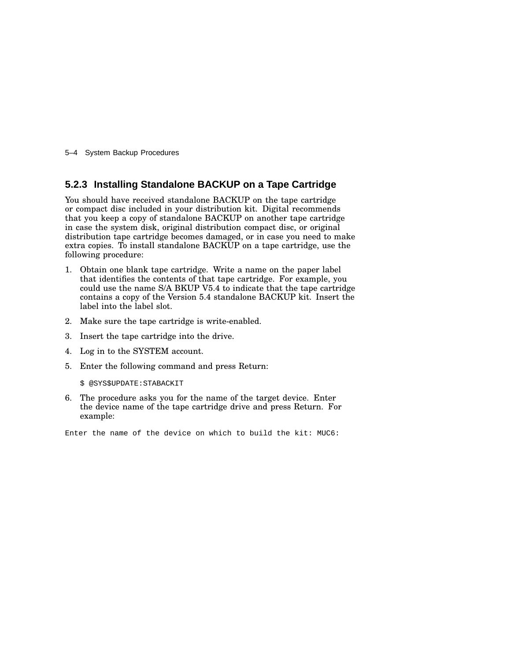5–4 System Backup Procedures

#### **5.2.3 Installing Standalone BACKUP on a Tape Cartridge**

You should have received standalone BACKUP on the tape cartridge or compact disc included in your distribution kit. Digital recommends that you keep a copy of standalone BACKUP on another tape cartridge in case the system disk, original distribution compact disc, or original distribution tape cartridge becomes damaged, or in case you need to make extra copies. To install standalone BACKUP on a tape cartridge, use the following procedure:

- 1. Obtain one blank tape cartridge. Write a name on the paper label that identifies the contents of that tape cartridge. For example, you could use the name S/A BKUP V5.4 to indicate that the tape cartridge contains a copy of the Version 5.4 standalone BACKUP kit. Insert the label into the label slot.
- 2. Make sure the tape cartridge is write-enabled.
- 3. Insert the tape cartridge into the drive.
- 4. Log in to the SYSTEM account.
- 5. Enter the following command and press Return:

\$ @SYS\$UPDATE:STABACKIT

6. The procedure asks you for the name of the target device. Enter the device name of the tape cartridge drive and press Return. For example:

Enter the name of the device on which to build the kit: MUC6: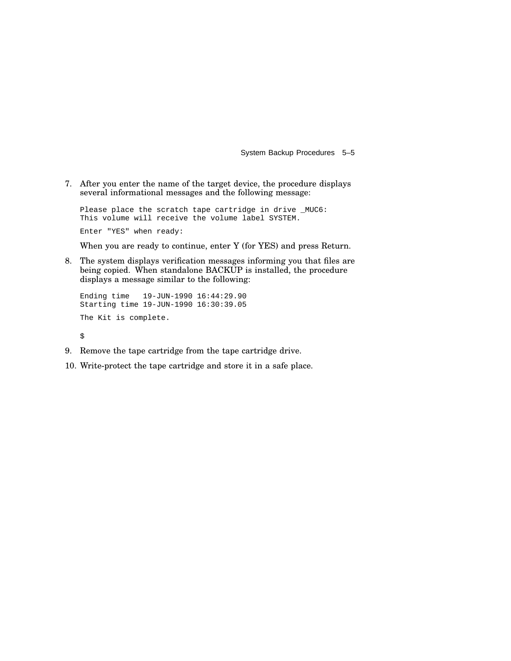System Backup Procedures 5–5

7. After you enter the name of the target device, the procedure displays several informational messages and the following message:

Please place the scratch tape cartridge in drive \_MUC6: This volume will receive the volume label SYSTEM.

Enter "YES" when ready:

When you are ready to continue, enter Y (for YES) and press Return.

8. The system displays verification messages informing you that files are being copied. When standalone BACKUP is installed, the procedure displays a message similar to the following:

```
Ending time 19-JUN-1990 16:44:29.90
Starting time 19-JUN-1990 16:30:39.05
The Kit is complete.
\ddot{\varsigma}
```
- 9. Remove the tape cartridge from the tape cartridge drive.
- 10. Write-protect the tape cartridge and store it in a safe place.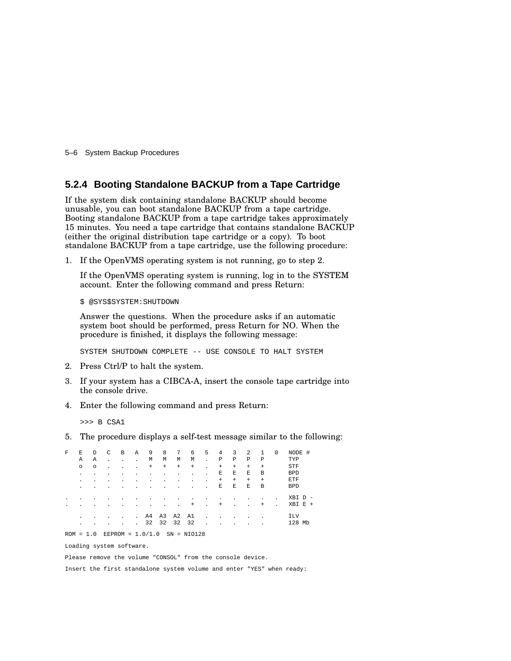5–6 System Backup Procedures

#### **5.2.4 Booting Standalone BACKUP from a Tape Cartridge**

If the system disk containing standalone BACKUP should become unusable, you can boot standalone BACKUP from a tape cartridge. Booting standalone BACKUP from a tape cartridge takes approximately 15 minutes. You need a tape cartridge that contains standalone BACKUP (either the original distribution tape cartridge or a copy). To boot standalone BACKUP from a tape cartridge, use the following procedure:

1. If the OpenVMS operating system is not running, go to step 2.

If the OpenVMS operating system is running, log in to the SYSTEM account. Enter the following command and press Return:

\$ @SYS\$SYSTEM:SHUTDOWN

Answer the questions. When the procedure asks if an automatic system boot should be performed, press Return for NO. When the procedure is finished, it displays the following message:

SYSTEM SHUTDOWN COMPLETE -- USE CONSOLE TO HALT SYSTEM

- 2. Press Ctrl/P to halt the system.
- 3. If your system has a CIBCA-A, insert the console tape cartridge into the console drive.
- 4. Enter the following command and press Return:

>>> B CSA1

5. The procedure displays a self-test message similar to the following:

| F              | E         | D       | C              | B                  | $\mathbb{A}$   | 9      | 8         | 7         | 6              | 5                    | 4              | 3           | 2         | $\mathbf{1}$   | 0                        | NODE #     |
|----------------|-----------|---------|----------------|--------------------|----------------|--------|-----------|-----------|----------------|----------------------|----------------|-------------|-----------|----------------|--------------------------|------------|
|                | Α         | Α       | $\blacksquare$ | $\bullet$          | $\bullet$      | M      | M         | М         | М              | $\ddot{\phantom{a}}$ | Ρ              | $\mathbf P$ | P         | Ρ              |                          | TYP        |
|                | $\circ$   | $\circ$ | ٠              | $\blacksquare$     | ٠              | $^{+}$ | $\ddot{}$ | $\ddot{}$ | $\ddot{}$      | $\mathbf{r}$         | $+$            | $+$         | $\ddot{}$ | $\ddot{}$      |                          | <b>STF</b> |
|                | $\bullet$ | ٠       | ٠              | ٠                  | $\blacksquare$ |        |           | ٠         | $\blacksquare$ | $\blacksquare$       | Ε              | E           | E         | B              |                          | <b>BPD</b> |
|                | $\cdot$   |         |                |                    |                |        |           |           | $\blacksquare$ | $\blacksquare$       | $\ddot{}$      | $+$         | $\ddot{}$ | $\ddot{}$      |                          | ETF        |
|                | $\bullet$ |         |                |                    |                |        |           |           | ٠              | $\blacksquare$       | E              | E           | E         | B              |                          | <b>BPD</b> |
| $\blacksquare$ |           |         |                |                    |                |        |           | ٠         | ٠              | ٠                    | ٠              |             | ٠         | $\blacksquare$ | $\overline{\phantom{a}}$ | XBI D      |
| ٠              |           |         |                |                    |                |        |           | ٠         | $^{+}$         | $\bullet$            | $\ddot{}$      |             | ٠         | $\ddot{}$      | ×                        | $XBI E +$  |
|                | $\cdot$   |         |                | $\blacksquare$     | $\mathbf{r}$   | A4     | A3        | A2        | A1             | $\ddot{\phantom{a}}$ | $\blacksquare$ |             |           | $\blacksquare$ |                          | ILV        |
|                | $\cdot$   |         |                | $\blacksquare$     | $\bullet$      | 32     | 32        | 32        | 32             | $\mathbf{r}$         |                |             |           | ٠              |                          | 128 Mb     |
| $ROM = 1.0$    |           |         |                | EEPROM = $1.0/1.0$ |                |        |           |           | $SN = NIO128$  |                      |                |             |           |                |                          |            |

Loading system software.

Please remove the volume "CONSOL" from the console device.

Insert the first standalone system volume and enter "YES" when ready: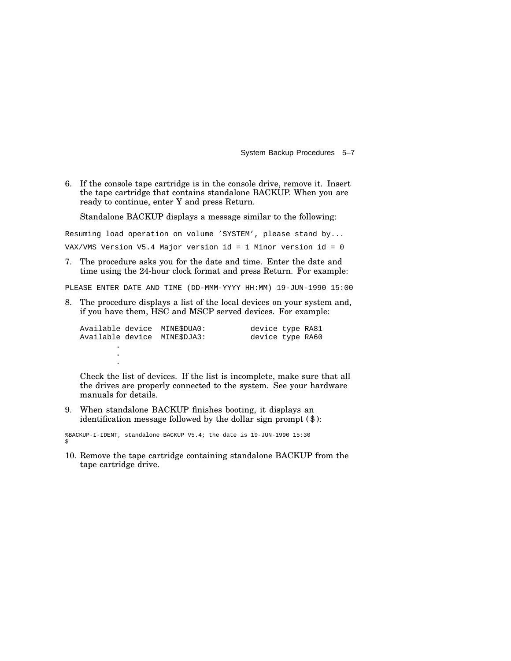System Backup Procedures 5–7

6. If the console tape cartridge is in the console drive, remove it. Insert the tape cartridge that contains standalone BACKUP. When you are ready to continue, enter Y and press Return.

Standalone BACKUP displays a message similar to the following:

Resuming load operation on volume 'SYSTEM', please stand by... VAX/VMS Version V5.4 Major version id = 1 Minor version id = 0

7. The procedure asks you for the date and time. Enter the date and time using the 24-hour clock format and press Return. For example:

PLEASE ENTER DATE AND TIME (DD-MMM-YYYY HH:MM) 19-JUN-1990 15:00

8. The procedure displays a list of the local devices on your system and, if you have them, HSC and MSCP served devices. For example:

|  | Available device  MINESDUA0:<br>Available device  MINESDJA3: | device type RA81<br>device type RA60 |  |
|--|--------------------------------------------------------------|--------------------------------------|--|
|  |                                                              |                                      |  |

Check the list of devices. If the list is incomplete, make sure that all the drives are properly connected to the system. See your hardware manuals for details.

9. When standalone BACKUP finishes booting, it displays an identification message followed by the dollar sign prompt (\$):

%BACKUP-I-IDENT, standalone BACKUP V5.4; the date is 19-JUN-1990 15:30 \$

.

10. Remove the tape cartridge containing standalone BACKUP from the tape cartridge drive.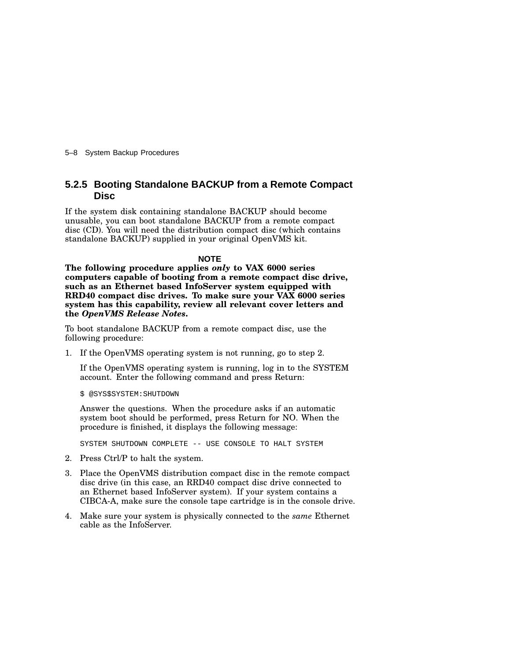5–8 System Backup Procedures

#### **5.2.5 Booting Standalone BACKUP from a Remote Compact Disc**

If the system disk containing standalone BACKUP should become unusable, you can boot standalone BACKUP from a remote compact disc (CD). You will need the distribution compact disc (which contains standalone BACKUP) supplied in your original OpenVMS kit.

#### **NOTE**

**The following procedure applies** *only* **to VAX 6000 series computers capable of booting from a remote compact disc drive, such as an Ethernet based InfoServer system equipped with RRD40 compact disc drives. To make sure your VAX 6000 series system has this capability, review all relevant cover letters and the** *OpenVMS Release Notes***.**

To boot standalone BACKUP from a remote compact disc, use the following procedure:

1. If the OpenVMS operating system is not running, go to step 2.

If the OpenVMS operating system is running, log in to the SYSTEM account. Enter the following command and press Return:

\$ @SYS\$SYSTEM:SHUTDOWN

Answer the questions. When the procedure asks if an automatic system boot should be performed, press Return for NO. When the procedure is finished, it displays the following message:

SYSTEM SHUTDOWN COMPLETE -- USE CONSOLE TO HALT SYSTEM

- 2. Press Ctrl/P to halt the system.
- 3. Place the OpenVMS distribution compact disc in the remote compact disc drive (in this case, an RRD40 compact disc drive connected to an Ethernet based InfoServer system). If your system contains a CIBCA-A, make sure the console tape cartridge is in the console drive.
- 4. Make sure your system is physically connected to the *same* Ethernet cable as the InfoServer.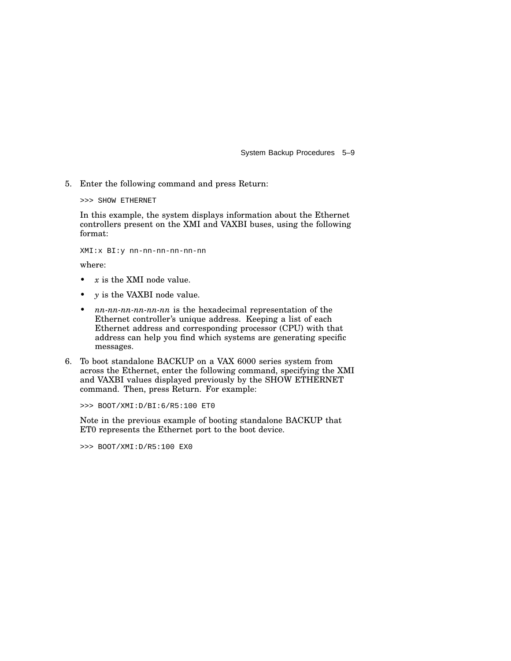System Backup Procedures 5–9

5. Enter the following command and press Return:

```
>>> SHOW ETHERNET
```
In this example, the system displays information about the Ethernet controllers present on the XMI and VAXBI buses, using the following format:

XMI:x BI:y nn-nn-nn-nn-nn-nn

where:

- *x* is the XMI node value.
- *y* is the VAXBI node value.
- *nn-nn-nn-nn-nn-nn* is the hexadecimal representation of the Ethernet controller's unique address. Keeping a list of each Ethernet address and corresponding processor (CPU) with that address can help you find which systems are generating specific messages.
- 6. To boot standalone BACKUP on a VAX 6000 series system from across the Ethernet, enter the following command, specifying the XMI and VAXBI values displayed previously by the SHOW ETHERNET command. Then, press Return. For example:

>>> BOOT/XMI:D/BI:6/R5:100 ET0

Note in the previous example of booting standalone BACKUP that ET0 represents the Ethernet port to the boot device.

>>> BOOT/XMI:D/R5:100 EX0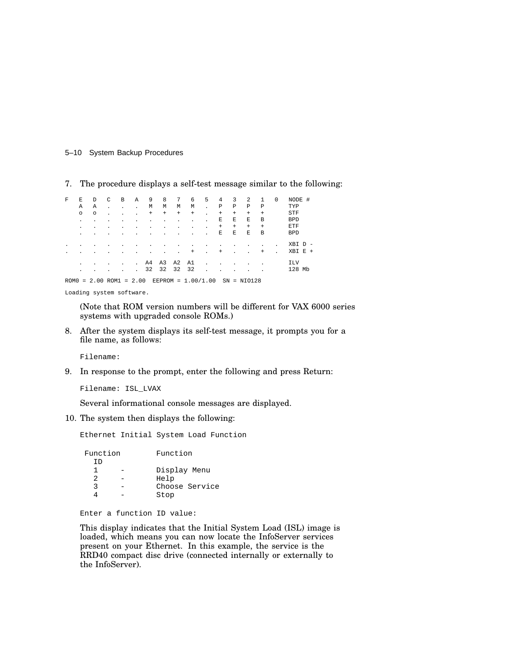#### 5–10 System Backup Procedures

7. The procedure displays a self-test message similar to the following:

| F | F.             | D                         | C  | B | Α              | 9         | 8         | 7              | 6                        | 5                    | 4         | 3                        | 2              | -1        | 0 | NODE #     |
|---|----------------|---------------------------|----|---|----------------|-----------|-----------|----------------|--------------------------|----------------------|-----------|--------------------------|----------------|-----------|---|------------|
|   | Α              | Α                         | ×. |   |                | M         | М         | М              | М                        |                      | Ρ         | P                        | P              | Ρ         |   | TYP        |
|   | $\circ$        | $\circ$                   | ٠  |   |                | $\ddot{}$ | $\ddot{}$ | $\ddot{}$      | $^{+}$                   |                      | $+$       | $\ddot{}$                | $\ddot{}$      | $\ddot{}$ |   | <b>STF</b> |
|   | $\blacksquare$ |                           |    |   |                |           |           |                |                          |                      | Ε         | E                        | E              | B         |   | <b>BPD</b> |
|   | $\blacksquare$ | ٠                         | ٠  |   |                |           |           | $\blacksquare$ | $\overline{\phantom{a}}$ | $\blacksquare$       | $\ddot{}$ | $+$                      | $\ddot{}$      | $\ddot{}$ |   | ETF        |
|   | $\blacksquare$ |                           |    |   |                |           |           |                |                          |                      | E         | E                        | E              | B         |   | <b>BPD</b> |
|   |                |                           |    |   |                |           |           |                |                          |                      |           |                          | ٠              | ٠         |   | XBI D      |
|   |                |                           |    |   |                |           |           | $\blacksquare$ | $^{+}$                   | $\mathbf{r}$         | $^{+}$    | $\overline{\phantom{a}}$ | ×.             | $\ddot{}$ |   | $XBI E +$  |
|   | $\blacksquare$ |                           |    |   | $\blacksquare$ | A4        |           | A3 A2 A1       |                          | $\sim$               |           |                          | $\blacksquare$ |           |   | <b>ILV</b> |
|   | $\blacksquare$ |                           |    |   |                | 32        | 32        | 32             | 32                       |                      |           |                          |                |           |   | 128 Mb     |
|   |                | $ROM0 = 2.00 ROM1 = 2.00$ |    |   |                |           |           |                |                          | $EEPROM = 1.00/1.00$ |           | $SN = NIO128$            |                |           |   |            |

Loading system software.

(Note that ROM version numbers will be different for VAX 6000 series systems with upgraded console ROMs.)

8. After the system displays its self-test message, it prompts you for a file name, as follows:

Filename:

9. In response to the prompt, enter the following and press Return:

Filename: ISL\_LVAX

Several informational console messages are displayed.

10. The system then displays the following:

Ethernet Initial System Load Function

| Function | Function       |  |  |  |  |  |
|----------|----------------|--|--|--|--|--|
| TD       |                |  |  |  |  |  |
|          | Display Menu   |  |  |  |  |  |
| 2        | Help           |  |  |  |  |  |
| ર        | Choose Service |  |  |  |  |  |
|          | Stop           |  |  |  |  |  |

Enter a function ID value:

This display indicates that the Initial System Load (ISL) image is loaded, which means you can now locate the InfoServer services present on your Ethernet. In this example, the service is the RRD40 compact disc drive (connected internally or externally to the InfoServer).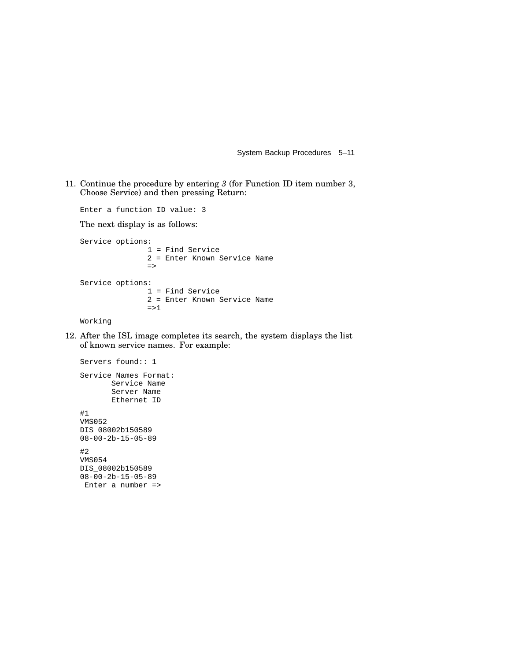System Backup Procedures 5–11

11. Continue the procedure by entering *3* (for Function ID item number 3, Choose Service) and then pressing Return:

Enter a function ID value: 3 The next display is as follows: Service options: 1 = Find Service 2 = Enter Known Service Name => Service options: 1 = Find Service 2 = Enter Known Service Name  $\Rightarrow$  1 Working

12. After the ISL image completes its search, the system displays the list of known service names. For example:

```
Servers found:: 1
Service Names Format:
       Service Name
       Server Name
       Ethernet ID
#1
VMS052
DIS_08002b150589
08-00-2b-15-05-89
#2
VMS054
DIS_08002b150589
08-00-2b-15-05-89
Enter a number =>
```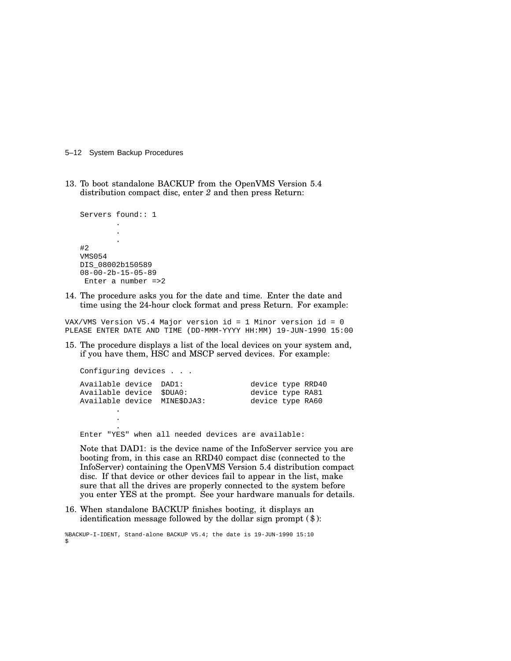5–12 System Backup Procedures

13. To boot standalone BACKUP from the OpenVMS Version 5.4 distribution compact disc, enter *2* and then press Return:

```
Servers found:: 1
        .
        .
        .
#2
VMS054
DIS_08002b150589
08-00-2b-15-05-89
Enter a number =>2
```
. .

14. The procedure asks you for the date and time. Enter the date and time using the 24-hour clock format and press Return. For example:

VAX/VMS Version V5.4 Major version id = 1 Minor version id = 0 PLEASE ENTER DATE AND TIME (DD-MMM-YYYY HH:MM) 19-JUN-1990 15:00

15. The procedure displays a list of the local devices on your system and, if you have them, HSC and MSCP served devices. For example:

| Configuring devices                                                                |  |  |                                                           |  |  |  |  |  |  |  |
|------------------------------------------------------------------------------------|--|--|-----------------------------------------------------------|--|--|--|--|--|--|--|
| Available device DAD1:<br>Available device \$DUA0:<br>Available device MINE\$DJA3: |  |  | device type RRD40<br>device type RA81<br>device type RA60 |  |  |  |  |  |  |  |
|                                                                                    |  |  |                                                           |  |  |  |  |  |  |  |

Enter "YES" when all needed devices are available:

Note that DAD1: is the device name of the InfoServer service you are booting from, in this case an RRD40 compact disc (connected to the InfoServer) containing the OpenVMS Version 5.4 distribution compact disc. If that device or other devices fail to appear in the list, make sure that all the drives are properly connected to the system before you enter YES at the prompt. See your hardware manuals for details.

16. When standalone BACKUP finishes booting, it displays an identification message followed by the dollar sign prompt (\$):

%BACKUP-I-IDENT, Stand-alone BACKUP V5.4; the date is 19-JUN-1990 15:10 \$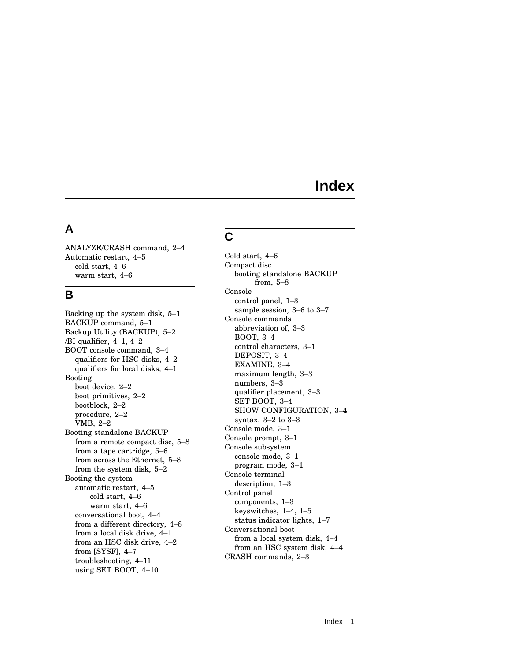# **Index**

#### **A**

ANALYZE/CRASH command, 2–4 Automatic restart, 4–5 cold start, 4–6 warm start, 4–6

#### **B**

Backing up the system disk, 5–1 BACKUP command, 5–1 Backup Utility (BACKUP), 5–2 /BI qualifier, 4–1, 4–2 BOOT console command, 3–4 qualifiers for HSC disks, 4–2 qualifiers for local disks, 4–1 Booting boot device, 2–2 boot primitives, 2–2 bootblock, 2–2 procedure, 2–2 VMB, 2–2 Booting standalone BACKUP from a remote compact disc, 5–8 from a tape cartridge, 5–6 from across the Ethernet, 5–8 from the system disk, 5–2 Booting the system automatic restart, 4–5 cold start, 4–6 warm start, 4–6 conversational boot, 4–4 from a different directory, 4–8 from a local disk drive, 4–1 from an HSC disk drive, 4–2 from [SYSF], 4–7 troubleshooting, 4–11 using SET BOOT, 4–10

### **C**

Cold start, 4–6 Compact disc booting standalone BACKUP from, 5–8 Console control panel, 1–3 sample session, 3–6 to 3–7 Console commands abbreviation of, 3–3 BOOT, 3–4 control characters, 3–1 DEPOSIT, 3–4 EXAMINE, 3–4 maximum length, 3–3 numbers, 3–3 qualifier placement, 3–3 SET BOOT, 3–4 SHOW CONFIGURATION, 3–4 syntax, 3–2 to 3–3 Console mode, 3–1 Console prompt, 3–1 Console subsystem console mode, 3–1 program mode, 3–1 Console terminal description, 1–3 Control panel components, 1–3 keyswitches, 1–4, 1–5 status indicator lights, 1–7 Conversational boot from a local system disk, 4–4 from an HSC system disk, 4–4 CRASH commands, 2–3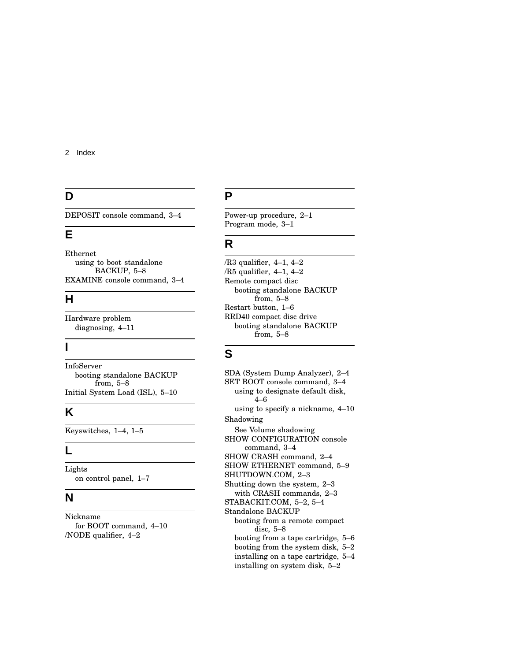### **D**

DEPOSIT console command, 3–4

### **E**

Ethernet using to boot standalone BACKUP, 5–8 EXAMINE console command, 3–4

### **H**

Hardware problem diagnosing, 4–11

#### **I**

InfoServer booting standalone BACKUP from, 5–8 Initial System Load (ISL), 5–10

### **K**

Keyswitches, 1–4, 1–5

#### **L**

Lights on control panel, 1–7

#### **N**

Nickname for BOOT command, 4–10 /NODE qualifier, 4–2

### **P**

Power-up procedure, 2–1 Program mode, 3–1

### **R**

/R3 qualifier, 4–1, 4–2 /R5 qualifier, 4–1, 4–2 Remote compact disc booting standalone BACKUP from, 5–8 Restart button, 1–6 RRD40 compact disc drive booting standalone BACKUP from, 5–8

### **S**

SDA (System Dump Analyzer), 2–4 SET BOOT console command, 3–4 using to designate default disk, 4–6 using to specify a nickname, 4–10 Shadowing See Volume shadowing SHOW CONFIGURATION console command, 3–4 SHOW CRASH command, 2–4 SHOW ETHERNET command, 5–9 SHUTDOWN.COM, 2–3 Shutting down the system, 2–3 with CRASH commands, 2–3 STABACKIT.COM, 5–2, 5–4 Standalone BACKUP booting from a remote compact disc, 5–8 booting from a tape cartridge, 5–6 booting from the system disk, 5–2 installing on a tape cartridge, 5–4 installing on system disk, 5–2